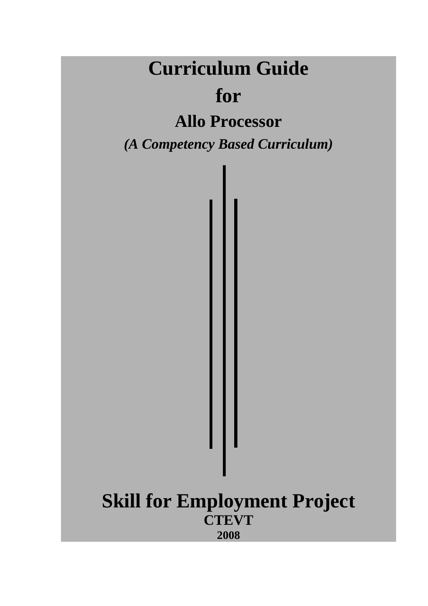# **Curriculum Guide**

# **for**

# **Allo Processor**

*(A Competency Based Curriculum)* 

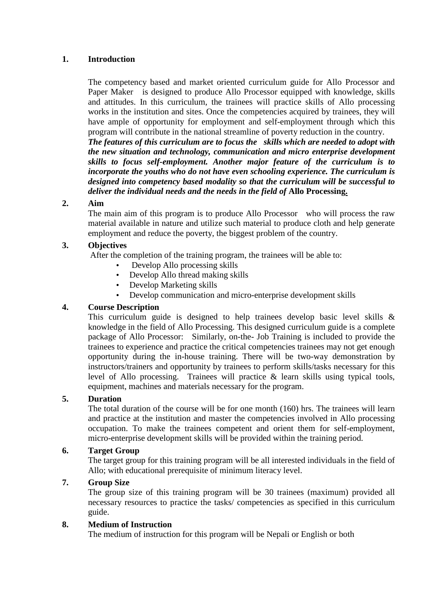#### **1. Introduction**

The competency based and market oriented curriculum guide for Allo Processor and Paper Maker is designed to produce Allo Processor equipped with knowledge, skills and attitudes. In this curriculum, the trainees will practice skills of Allo processing works in the institution and sites. Once the competencies acquired by trainees, they will have ample of opportunity for employment and self-employment through which this program will contribute in the national streamline of poverty reduction in the country.

*The features of this curriculum are to focus the skills which are needed to adopt with the new situation and technology, communication and micro enterprise development skills to focus self-employment. Another major feature of the curriculum is to incorporate the youths who do not have even schooling experience. The curriculum is designed into competency based modality so that the curriculum will be successful to deliver the individual needs and the needs in the field of* **Allo Processing.**

#### **2. Aim**

The main aim of this program is to produce Allo Processor who will process the raw material available in nature and utilize such material to produce cloth and help generate employment and reduce the poverty, the biggest problem of the country.

#### **3. Objectives**

After the completion of the training program, the trainees will be able to:

- Develop Allo processing skills
- Develop Allo thread making skills
- Develop Marketing skills
- Develop communication and micro-enterprise development skills

#### **4. Course Description**

This curriculum guide is designed to help trainees develop basic level skills & knowledge in the field of Allo Processing. This designed curriculum guide is a complete package of Allo Processor: Similarly, on-the- Job Training is included to provide the trainees to experience and practice the critical competencies trainees may not get enough opportunity during the in-house training. There will be two-way demonstration by instructors/trainers and opportunity by trainees to perform skills/tasks necessary for this level of Allo processing. Trainees will practice & learn skills using typical tools, equipment, machines and materials necessary for the program.

#### **5. Duration**

The total duration of the course will be for one month (160) hrs. The trainees will learn and practice at the institution and master the competencies involved in Allo processing occupation. To make the trainees competent and orient them for self-employment, micro-enterprise development skills will be provided within the training period.

#### **6. Target Group**

The target group for this training program will be all interested individuals in the field of Allo; with educational prerequisite of minimum literacy level.

#### **7. Group Size**

The group size of this training program will be 30 trainees (maximum) provided all necessary resources to practice the tasks/ competencies as specified in this curriculum guide.

#### **8. Medium of Instruction**

The medium of instruction for this program will be Nepali or English or both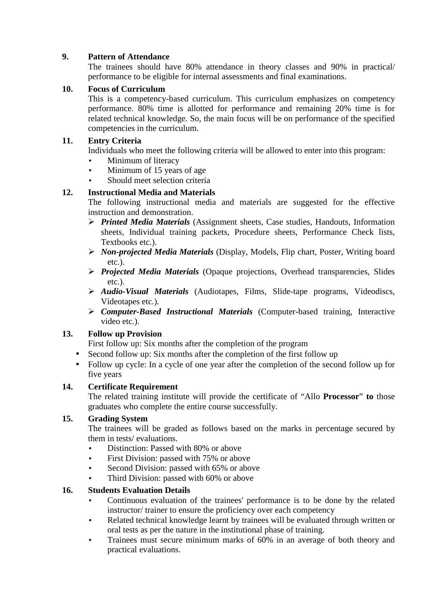#### **9. Pattern of Attendance**

The trainees should have 80% attendance in theory classes and 90% in practical/ performance to be eligible for internal assessments and final examinations.

#### **10. Focus of Curriculum**

This is a competency-based curriculum. This curriculum emphasizes on competency performance. 80% time is allotted for performance and remaining 20% time is for related technical knowledge. So, the main focus will be on performance of the specified competencies in the curriculum.

#### **11. Entry Criteria**

Individuals who meet the following criteria will be allowed to enter into this program:

- Minimum of literacy
- Minimum of 15 years of age
- Should meet selection criteria

#### **12. Instructional Media and Materials**

The following instructional media and materials are suggested for the effective instruction and demonstration.

- *Printed Media Materials* (Assignment sheets, Case studies, Handouts, Information sheets, Individual training packets, Procedure sheets, Performance Check lists, Textbooks etc.).
- *Non-projected Media Materials* (Display, Models, Flip chart, Poster, Writing board etc.).
- *Projected Media Materials* (Opaque projections, Overhead transparencies, Slides etc.).
- *Audio-Visual Materials* (Audiotapes, Films, Slide-tape programs, Videodiscs, Videotapes etc.).
- *Computer-Based Instructional Materials* (Computer-based training, Interactive video etc.).

#### **13. Follow up Provision**

First follow up: Six months after the completion of the program

- Second follow up: Six months after the completion of the first follow up
- Follow up cycle: In a cycle of one year after the completion of the second follow up for five years

#### **14. Certificate Requirement**

The related training institute will provide the certificate of "Allo **Processor**" **to** those graduates who complete the entire course successfully.

#### **15. Grading System**

The trainees will be graded as follows based on the marks in percentage secured by them in tests/ evaluations.

- Distinction: Passed with 80% or above
- First Division: passed with 75% or above
- Second Division: passed with 65% or above
- Third Division: passed with 60% or above

#### **16. Students Evaluation Details**

- Continuous evaluation of the trainees' performance is to be done by the related instructor/ trainer to ensure the proficiency over each competency
- Related technical knowledge learnt by trainees will be evaluated through written or oral tests as per the nature in the institutional phase of training.
- Trainees must secure minimum marks of 60% in an average of both theory and practical evaluations.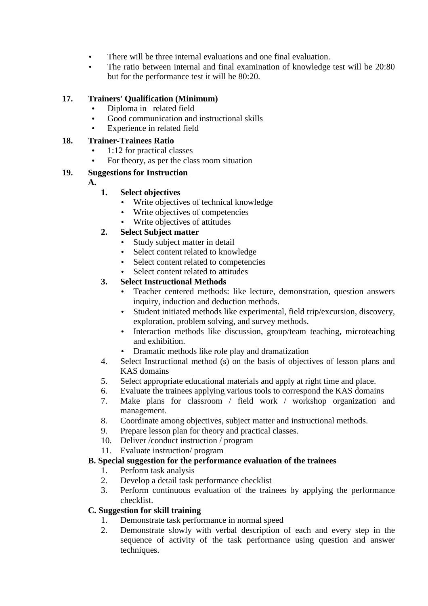- There will be three internal evaluations and one final evaluation.
- The ratio between internal and final examination of knowledge test will be 20:80 but for the performance test it will be 80:20.

#### **17. Trainers' Qualification (Minimum)**

- Diploma in related field
- Good communication and instructional skills
- Experience in related field

#### **18. Trainer-Trainees Ratio**

- 1:12 for practical classes
- For theory, as per the class room situation

#### **19. Suggestions for Instruction**

**A.** 

#### **1. Select objectives**

- Write objectives of technical knowledge
- Write objectives of competencies
- Write objectives of attitudes

#### **2. Select Subject matter**

- Study subject matter in detail
- Select content related to knowledge
- Select content related to competencies
- Select content related to attitudes

#### **3. Select Instructional Methods**

- Teacher centered methods: like lecture, demonstration, question answers inquiry, induction and deduction methods.
- Student initiated methods like experimental, field trip/excursion, discovery, exploration, problem solving, and survey methods.
- Interaction methods like discussion, group/team teaching, microteaching and exhibition.
- Dramatic methods like role play and dramatization
- 4. Select Instructional method (s) on the basis of objectives of lesson plans and KAS domains
- 5. Select appropriate educational materials and apply at right time and place.
- 6. Evaluate the trainees applying various tools to correspond the KAS domains
- 7. Make plans for classroom / field work / workshop organization and management.
- 8. Coordinate among objectives, subject matter and instructional methods.
- 9. Prepare lesson plan for theory and practical classes.
- 10. Deliver /conduct instruction / program
- 11. Evaluate instruction/ program

#### **B. Special suggestion for the performance evaluation of the trainees**

- 1. Perform task analysis
- 2. Develop a detail task performance checklist
- 3. Perform continuous evaluation of the trainees by applying the performance checklist.

#### **C. Suggestion for skill training**

- 1. Demonstrate task performance in normal speed
- 2. Demonstrate slowly with verbal description of each and every step in the sequence of activity of the task performance using question and answer techniques.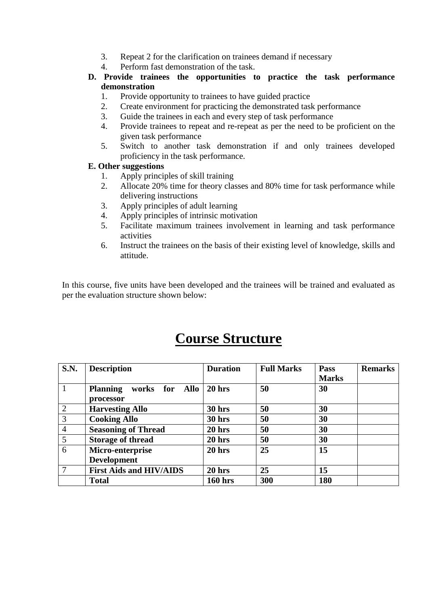- 3. Repeat 2 for the clarification on trainees demand if necessary
- 4. Perform fast demonstration of the task.

#### **D. Provide trainees the opportunities to practice the task performance demonstration**

- 1. Provide opportunity to trainees to have guided practice
- 2. Create environment for practicing the demonstrated task performance
- 3. Guide the trainees in each and every step of task performance
- 4. Provide trainees to repeat and re-repeat as per the need to be proficient on the given task performance
- 5. Switch to another task demonstration if and only trainees developed proficiency in the task performance.

#### **E. Other suggestions**

- 1. Apply principles of skill training
- 2. Allocate 20% time for theory classes and 80% time for task performance while delivering instructions
- 3. Apply principles of adult learning
- 4. Apply principles of intrinsic motivation
- 5. Facilitate maximum trainees involvement in learning and task performance activities
- 6. Instruct the trainees on the basis of their existing level of knowledge, skills and attitude.

In this course, five units have been developed and the trainees will be trained and evaluated as per the evaluation structure shown below:

## **Course Structure**

| <b>S.N.</b>    | <b>Description</b>                   | <b>Duration</b>   | <b>Full Marks</b> | Pass         | <b>Remarks</b> |
|----------------|--------------------------------------|-------------------|-------------------|--------------|----------------|
|                |                                      |                   |                   | <b>Marks</b> |                |
|                | <b>Planning</b><br>works for<br>Allo | $20$ hrs          | 50                | 30           |                |
|                | processor                            |                   |                   |              |                |
| 2              | <b>Harvesting Allo</b>               | 30 hrs            | 50                | 30           |                |
| 3              | <b>Cooking Allo</b>                  | 30 hrs            | 50                | 30           |                |
| $\overline{4}$ | <b>Seasoning of Thread</b>           | 20 <sub>hrs</sub> | 50                | 30           |                |
| 5              | <b>Storage of thread</b>             | $20$ hrs          | 50                | 30           |                |
| 6              | Micro-enterprise                     | 20 <sub>hrs</sub> | 25                | 15           |                |
|                | <b>Development</b>                   |                   |                   |              |                |
| $\overline{7}$ | <b>First Aids and HIV/AIDS</b>       | $20$ hrs          | 25                | 15           |                |
|                | <b>Total</b>                         | <b>160 hrs</b>    | 300               | 180          |                |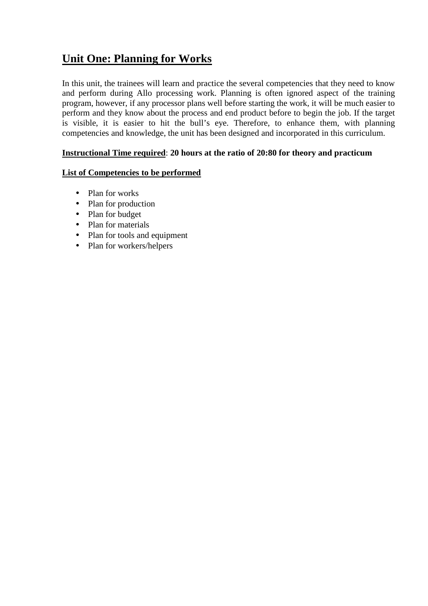### **Unit One: Planning for Works**

In this unit, the trainees will learn and practice the several competencies that they need to know and perform during Allo processing work. Planning is often ignored aspect of the training program, however, if any processor plans well before starting the work, it will be much easier to perform and they know about the process and end product before to begin the job. If the target is visible, it is easier to hit the bull's eye. Therefore, to enhance them, with planning competencies and knowledge, the unit has been designed and incorporated in this curriculum.

#### **Instructional Time required**: **20 hours at the ratio of 20:80 for theory and practicum**

#### **List of Competencies to be performed**

- Plan for works
- Plan for production
- Plan for budget
- Plan for materials
- Plan for tools and equipment
- Plan for workers/helpers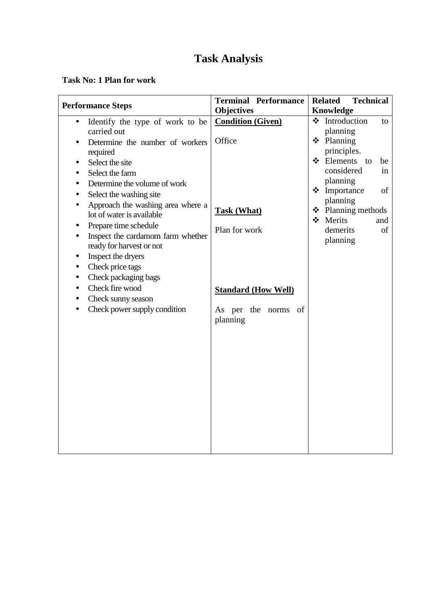#### **Task No: 1 Plan for work**

| <b>Performance Steps</b>                                                                                                                                                                                                                                                                                                                                                                                                                                                                                                                                  | <b>Terminal Performance</b>                                                                                                                | <b>Related</b><br><b>Technical</b>                                                                                                                                                                                                    |  |
|-----------------------------------------------------------------------------------------------------------------------------------------------------------------------------------------------------------------------------------------------------------------------------------------------------------------------------------------------------------------------------------------------------------------------------------------------------------------------------------------------------------------------------------------------------------|--------------------------------------------------------------------------------------------------------------------------------------------|---------------------------------------------------------------------------------------------------------------------------------------------------------------------------------------------------------------------------------------|--|
|                                                                                                                                                                                                                                                                                                                                                                                                                                                                                                                                                           | <b>Objectives</b>                                                                                                                          | Knowledge                                                                                                                                                                                                                             |  |
| Identify the type of work to be<br>$\bullet$<br>carried out<br>Determine the number of workers<br>required<br>Select the site<br>Select the farm<br>Determine the volume of work<br>$\bullet$<br>Select the washing site<br>Approach the washing area where a<br>lot of water is available<br>Prepare time schedule<br>Inspect the cardamom farm whether<br>ready for harvest or not<br>Inspect the dryers<br>Check price tags<br>$\bullet$<br>Check packaging bags<br>$\bullet$<br>Check fire wood<br>Check sunny season<br>Check power supply condition | <b>Condition (Given)</b><br>Office<br><b>Task (What)</b><br>Plan for work<br><b>Standard (How Well)</b><br>As per the norms of<br>planning | ❖ Introduction<br>to<br>planning<br>$\div$ Planning<br>principles.<br>❖ Elements<br>be<br>to<br>considered<br>in<br>planning<br>❖ Importance<br>of<br>planning<br>❖ Planning methods<br>❖ Merits<br>and<br>demerits<br>of<br>planning |  |
|                                                                                                                                                                                                                                                                                                                                                                                                                                                                                                                                                           |                                                                                                                                            |                                                                                                                                                                                                                                       |  |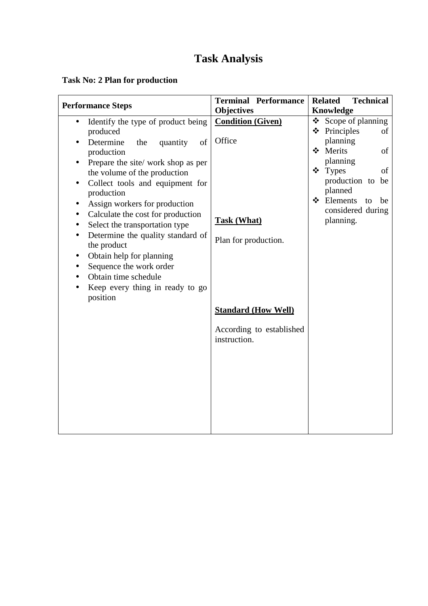### **Task No: 2 Plan for production**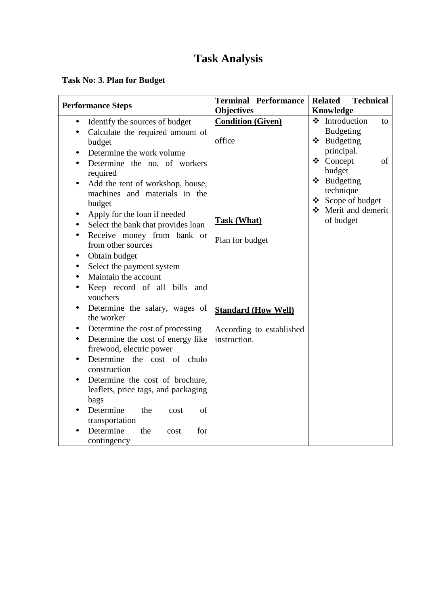### **Task No: 3. Plan for Budget**

| <b>Performance Steps</b>                                                       | <b>Terminal Performance</b><br><b>Objectives</b> | <b>Related</b><br><b>Technical</b><br><b>Knowledge</b> |
|--------------------------------------------------------------------------------|--------------------------------------------------|--------------------------------------------------------|
| Identify the sources of budget<br>$\bullet$                                    | <b>Condition (Given)</b>                         | ❖ Introduction<br>to                                   |
| Calculate the required amount of<br>$\bullet$                                  |                                                  | <b>Budgeting</b>                                       |
| budget                                                                         | office                                           | ❖ Budgeting                                            |
| Determine the work volume                                                      |                                                  | principal.                                             |
| $\bullet$                                                                      |                                                  | ❖ Concept<br>of                                        |
| Determine the no. of workers<br>$\bullet$                                      |                                                  | budget                                                 |
| required                                                                       |                                                  | ❖ Budgeting                                            |
| Add the rent of workshop, house,<br>$\bullet$<br>machines and materials in the |                                                  | technique                                              |
| budget                                                                         |                                                  | ❖ Scope of budget                                      |
|                                                                                |                                                  | Merit and demerit                                      |
| Apply for the loan if needed<br>$\bullet$                                      | <b>Task (What)</b>                               | of budget                                              |
| Select the bank that provides loan<br>$\bullet$                                |                                                  |                                                        |
| Receive money from bank or<br>$\bullet$                                        | Plan for budget                                  |                                                        |
| from other sources                                                             |                                                  |                                                        |
| Obtain budget<br>$\bullet$                                                     |                                                  |                                                        |
| Select the payment system<br>$\bullet$                                         |                                                  |                                                        |
| Maintain the account<br>$\bullet$                                              |                                                  |                                                        |
| Keep record of all bills and<br>$\bullet$<br>vouchers                          |                                                  |                                                        |
| Determine the salary, wages of<br>$\bullet$<br>the worker                      | <b>Standard (How Well)</b>                       |                                                        |
| Determine the cost of processing<br>$\bullet$                                  | According to established                         |                                                        |
| Determine the cost of energy like<br>$\bullet$<br>firewood, electric power     | instruction.                                     |                                                        |
| Determine the cost of chulo<br>$\bullet$                                       |                                                  |                                                        |
| construction                                                                   |                                                  |                                                        |
| Determine the cost of brochure,<br>$\bullet$                                   |                                                  |                                                        |
| leaflets, price tags, and packaging<br>bags                                    |                                                  |                                                        |
| Determine<br>the<br>of<br>cost                                                 |                                                  |                                                        |
| transportation                                                                 |                                                  |                                                        |
| Determine<br>the<br>for<br>cost                                                |                                                  |                                                        |
| contingency                                                                    |                                                  |                                                        |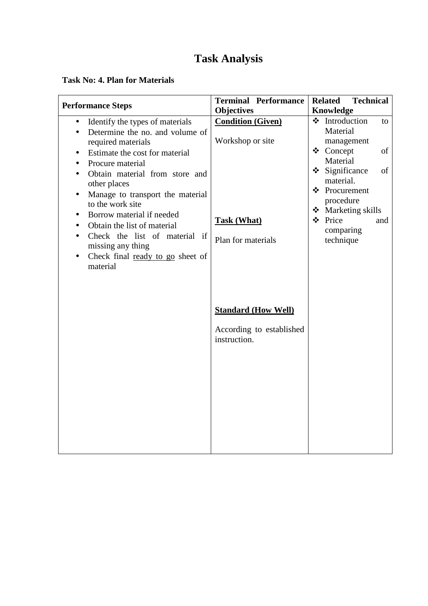#### **Task No: 4. Plan for Materials**

| <b>Performance Steps</b>                                                                                                           | <b>Terminal Performance</b>                  | <b>Related</b><br><b>Technical</b>                      |
|------------------------------------------------------------------------------------------------------------------------------------|----------------------------------------------|---------------------------------------------------------|
|                                                                                                                                    | <b>Objectives</b>                            | Knowledge                                               |
| Identify the types of materials<br>$\bullet$<br>Determine the no. and volume of<br>$\bullet$<br>required materials                 | <b>Condition (Given)</b><br>Workshop or site | ❖ Introduction<br>to<br>Material<br>management          |
| Estimate the cost for material<br>Procure material                                                                                 |                                              | ❖ Concept<br>of<br>Material                             |
| Obtain material from store and<br>other places<br>Manage to transport the material<br>$\bullet$                                    |                                              | $\div$ Significance<br>of<br>material.<br>❖ Procurement |
| to the work site<br>Borrow material if needed<br>$\bullet$                                                                         | <b>Task (What)</b>                           | procedure<br>❖ Marketing skills<br>❖ Price<br>and       |
| Obtain the list of material<br>$\bullet$<br>Check the list of material if<br>missing any thing<br>Check final ready to go sheet of | Plan for materials                           | comparing<br>technique                                  |
| material                                                                                                                           |                                              |                                                         |
|                                                                                                                                    | <b>Standard (How Well)</b>                   |                                                         |
|                                                                                                                                    | According to established<br>instruction.     |                                                         |
|                                                                                                                                    |                                              |                                                         |
|                                                                                                                                    |                                              |                                                         |
|                                                                                                                                    |                                              |                                                         |
|                                                                                                                                    |                                              |                                                         |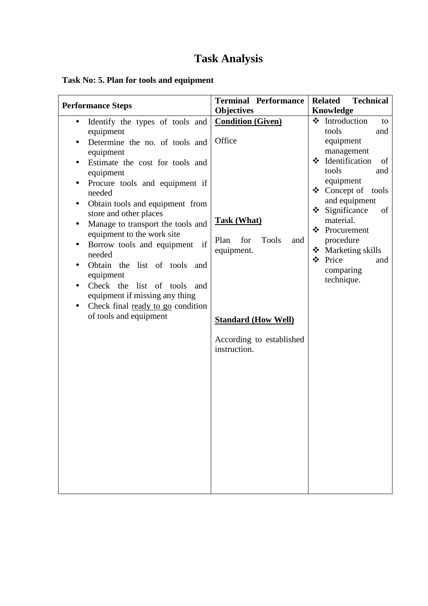### **Task No: 5. Plan for tools and equipment**

| <b>Performance Steps</b>                                                                                                                                                                                                                                                                                                                                                                                                                                                                                                                                                                                                                      | <b>Terminal Performance</b>                                                                                                                                                            | <b>Related</b><br><b>Technical</b>                                                                                                                                                                                                                                                                                |
|-----------------------------------------------------------------------------------------------------------------------------------------------------------------------------------------------------------------------------------------------------------------------------------------------------------------------------------------------------------------------------------------------------------------------------------------------------------------------------------------------------------------------------------------------------------------------------------------------------------------------------------------------|----------------------------------------------------------------------------------------------------------------------------------------------------------------------------------------|-------------------------------------------------------------------------------------------------------------------------------------------------------------------------------------------------------------------------------------------------------------------------------------------------------------------|
|                                                                                                                                                                                                                                                                                                                                                                                                                                                                                                                                                                                                                                               | <b>Objectives</b>                                                                                                                                                                      | <b>Knowledge</b>                                                                                                                                                                                                                                                                                                  |
| Identify the types of tools and<br>$\bullet$<br>equipment<br>Determine the no. of tools and<br>$\bullet$<br>equipment<br>Estimate the cost for tools and<br>equipment<br>Procure tools and equipment if<br>$\bullet$<br>needed<br>Obtain tools and equipment from<br>$\bullet$<br>store and other places<br>Manage to transport the tools and<br>equipment to the work site<br>Borrow tools and equipment if<br>$\bullet$<br>needed<br>Obtain the list of tools and<br>$\bullet$<br>equipment<br>Check the list of tools<br>and<br>$\bullet$<br>equipment if missing any thing<br>Check final ready to go condition<br>of tools and equipment | <b>Condition (Given)</b><br>Office<br><b>Task (What)</b><br>for<br><b>Tools</b><br>Plan<br>and<br>equipment.<br><b>Standard (How Well)</b><br>According to established<br>instruction. | Introduction<br>❖<br>to<br>tools<br>and<br>equipment<br>management<br>❖ Identification<br>οf<br>tools<br>and<br>equipment<br>❖ Concept of tools<br>and equipment<br>$\div$ Significance<br>of<br>material.<br>❖ Procurement<br>procedure<br>Marketing skills<br>❖<br>❖<br>Price<br>and<br>comparing<br>technique. |
|                                                                                                                                                                                                                                                                                                                                                                                                                                                                                                                                                                                                                                               |                                                                                                                                                                                        |                                                                                                                                                                                                                                                                                                                   |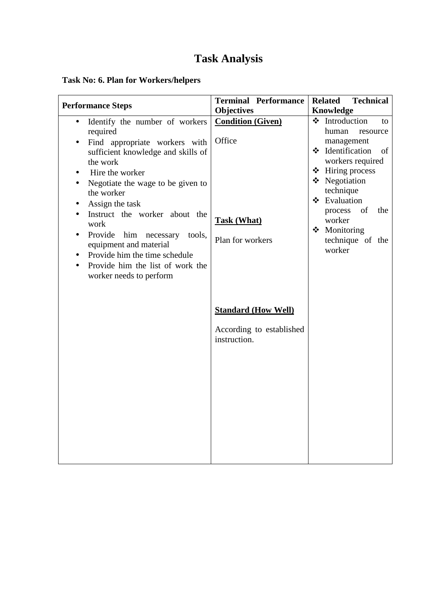### **Task No: 6. Plan for Workers/helpers**

| <b>Performance Steps</b>                                                                                                                                                                                                                        | <b>Terminal Performance</b><br><b>Objectives</b>                       | <b>Related</b><br><b>Technical</b><br>Knowledge                                                       |
|-------------------------------------------------------------------------------------------------------------------------------------------------------------------------------------------------------------------------------------------------|------------------------------------------------------------------------|-------------------------------------------------------------------------------------------------------|
| Identify the number of workers<br>$\bullet$<br>required<br>Find appropriate workers with<br>sufficient knowledge and skills of                                                                                                                  | <b>Condition (Given)</b><br>Office                                     | ❖ Introduction<br>to<br>human<br>resource<br>management<br>❖ Identification<br>of<br>workers required |
| the work<br>Hire the worker<br>Negotiate the wage to be given to<br>$\bullet$<br>the worker<br>Assign the task                                                                                                                                  |                                                                        | $\div$ Hiring process<br>❖ Negotiation<br>technique<br>❖ Evaluation                                   |
| Instruct the worker about the<br>work<br>Provide<br>him<br>necessary<br>tools,<br>$\bullet$<br>equipment and material<br>Provide him the time schedule<br>$\bullet$<br>Provide him the list of work the<br>$\bullet$<br>worker needs to perform | <b>Task (What)</b><br>Plan for workers                                 | of<br>process<br>the<br>worker<br>❖ Monitoring<br>technique of the<br>worker                          |
|                                                                                                                                                                                                                                                 | <b>Standard (How Well)</b><br>According to established<br>instruction. |                                                                                                       |
|                                                                                                                                                                                                                                                 |                                                                        |                                                                                                       |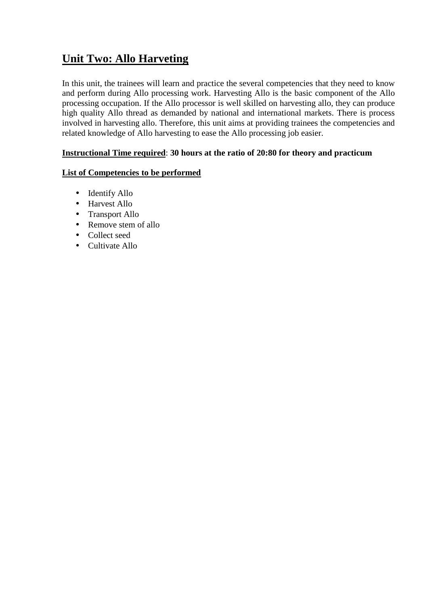### **Unit Two: Allo Harveting**

In this unit, the trainees will learn and practice the several competencies that they need to know and perform during Allo processing work. Harvesting Allo is the basic component of the Allo processing occupation. If the Allo processor is well skilled on harvesting allo, they can produce high quality Allo thread as demanded by national and international markets. There is process involved in harvesting allo. Therefore, this unit aims at providing trainees the competencies and related knowledge of Allo harvesting to ease the Allo processing job easier.

#### **Instructional Time required**: **30 hours at the ratio of 20:80 for theory and practicum**

#### **List of Competencies to be performed**

- Identify Allo
- Harvest Allo
- Transport Allo
- Remove stem of allo
- Collect seed
- Cultivate Allo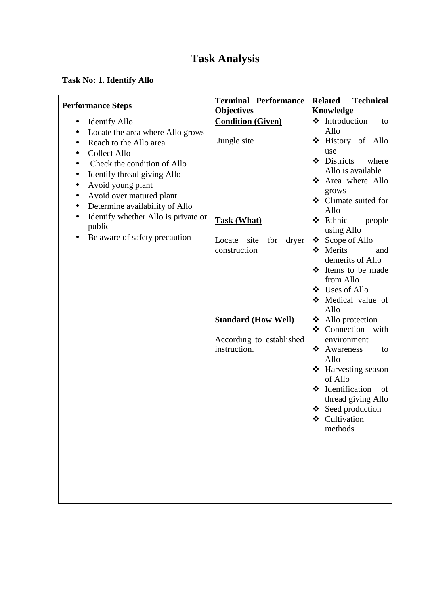### **Task No: 1. Identify Allo**

|                                                  | <b>Terminal Performance</b>    | <b>Technical</b><br><b>Related</b>      |  |
|--------------------------------------------------|--------------------------------|-----------------------------------------|--|
| <b>Performance Steps</b>                         | <b>Objectives</b>              | Knowledge                               |  |
| <b>Identify Allo</b><br>$\bullet$                | <b>Condition (Given)</b>       | ❖ Introduction<br>to                    |  |
| Locate the area where Allo grows                 |                                | Allo                                    |  |
| Reach to the Allo area<br>$\bullet$              | Jungle site                    | ❖ History of Allo                       |  |
| <b>Collect Allo</b><br>$\bullet$                 |                                | use                                     |  |
| Check the condition of Allo                      |                                | ❖ Districts<br>where                    |  |
| Identify thread giving Allo                      |                                | Allo is available                       |  |
| Avoid young plant<br>$\bullet$                   |                                | ❖ Area where Allo                       |  |
| Avoid over matured plant<br>$\bullet$            |                                | grows                                   |  |
| Determine availability of Allo<br>$\bullet$      |                                | ❖ Climate suited for                    |  |
| Identify whether Allo is private or<br>$\bullet$ |                                | Allo                                    |  |
| public                                           | <b>Task (What)</b>             | ❖ Ethnic<br>people<br>using Allo        |  |
| Be aware of safety precaution                    | site<br>for<br>dryer<br>Locate | ❖ Scope of Allo                         |  |
|                                                  | construction                   | ❖ Merits<br>and                         |  |
|                                                  |                                | demerits of Allo                        |  |
|                                                  |                                | ❖ Items to be made                      |  |
|                                                  |                                | from Allo                               |  |
|                                                  |                                | ❖ Uses of Allo                          |  |
|                                                  |                                | Medical value of                        |  |
|                                                  |                                | Allo                                    |  |
|                                                  | <b>Standard (How Well)</b>     | $\triangleleft$ Allo protection         |  |
|                                                  |                                | $\div$ Connection with                  |  |
|                                                  | According to established       | environment                             |  |
|                                                  | instruction.                   | ❖<br>Awareness<br>to                    |  |
|                                                  |                                | Allo                                    |  |
|                                                  |                                | $\div$ Harvesting season                |  |
|                                                  |                                | of Allo                                 |  |
|                                                  |                                | ❖ Identification<br>of                  |  |
|                                                  |                                | thread giving Allo<br>❖ Seed production |  |
|                                                  |                                | Cultivation                             |  |
|                                                  |                                | methods                                 |  |
|                                                  |                                |                                         |  |
|                                                  |                                |                                         |  |
|                                                  |                                |                                         |  |
|                                                  |                                |                                         |  |
|                                                  |                                |                                         |  |
|                                                  |                                |                                         |  |
|                                                  |                                |                                         |  |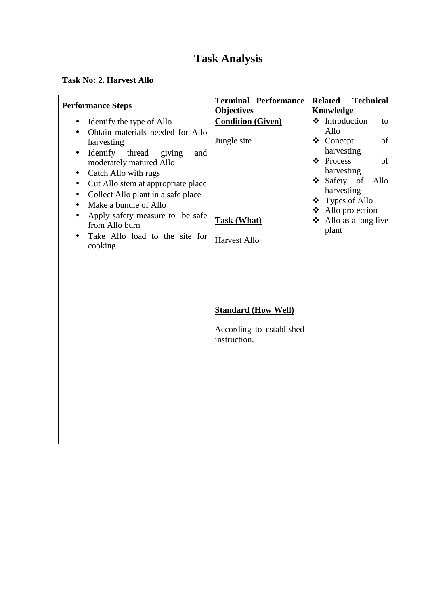#### **Task No: 2. Harvest Allo**

| <b>Performance Steps</b>                                                   | <b>Terminal Performance</b>                   | <b>Related</b><br><b>Technical</b>   |
|----------------------------------------------------------------------------|-----------------------------------------------|--------------------------------------|
|                                                                            | <b>Objectives</b><br><b>Condition (Given)</b> | Knowledge<br>❖ Introduction<br>to    |
| Identify the type of Allo<br>$\bullet$<br>Obtain materials needed for Allo |                                               | Allo                                 |
| harvesting                                                                 | Jungle site                                   | ❖ Concept<br>of                      |
| Identify<br>thread<br>and                                                  |                                               | harvesting                           |
| giving<br>$\bullet$<br>moderately matured Allo                             |                                               | ❖ Process<br>of                      |
| Catch Allo with rugs                                                       |                                               | harvesting                           |
| Cut Allo stem at appropriate place<br>$\bullet$                            |                                               | $\triangleleft$ Safety<br>of<br>Allo |
| Collect Allo plant in a safe place<br>$\bullet$                            |                                               | harvesting                           |
| Make a bundle of Allo<br>$\bullet$                                         |                                               | ❖ Types of Allo                      |
| Apply safety measure to be safe                                            |                                               | ❖ Allo protection                    |
| $\bullet$<br>from Allo burn                                                | Task (What)                                   | $\triangle$ Allo as a long live      |
| Take Allo load to the site for                                             |                                               | plant                                |
| cooking                                                                    | <b>Harvest Allo</b>                           |                                      |
|                                                                            |                                               |                                      |
|                                                                            |                                               |                                      |
|                                                                            |                                               |                                      |
|                                                                            |                                               |                                      |
|                                                                            |                                               |                                      |
|                                                                            | <b>Standard (How Well)</b>                    |                                      |
|                                                                            |                                               |                                      |
|                                                                            | According to established                      |                                      |
|                                                                            | instruction.                                  |                                      |
|                                                                            |                                               |                                      |
|                                                                            |                                               |                                      |
|                                                                            |                                               |                                      |
|                                                                            |                                               |                                      |
|                                                                            |                                               |                                      |
|                                                                            |                                               |                                      |
|                                                                            |                                               |                                      |
|                                                                            |                                               |                                      |
|                                                                            |                                               |                                      |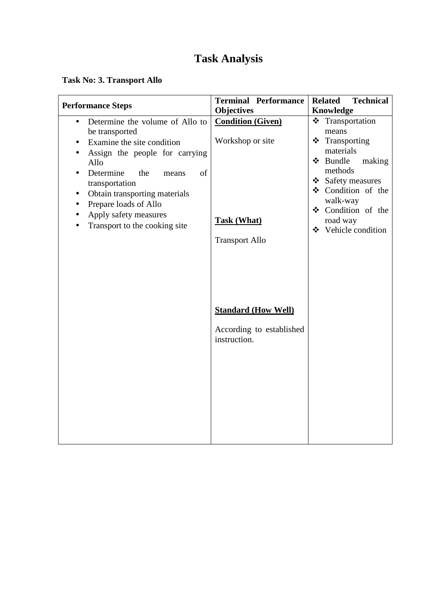### **Task No: 3. Transport Allo**

| <b>Performance Steps</b>                                                                                                                                                                                                                                                                                                                  | <b>Terminal Performance</b>                                                                 | <b>Related</b><br><b>Technical</b>                                                                                                                                                                             |  |
|-------------------------------------------------------------------------------------------------------------------------------------------------------------------------------------------------------------------------------------------------------------------------------------------------------------------------------------------|---------------------------------------------------------------------------------------------|----------------------------------------------------------------------------------------------------------------------------------------------------------------------------------------------------------------|--|
|                                                                                                                                                                                                                                                                                                                                           | <b>Objectives</b>                                                                           | <b>Knowledge</b>                                                                                                                                                                                               |  |
| Determine the volume of Allo to<br>$\bullet$<br>be transported<br>Examine the site condition<br>Assign the people for carrying<br>$\bullet$<br>Allo<br>Determine<br>the<br>of<br>means<br>transportation<br>Obtain transporting materials<br>$\bullet$<br>Prepare loads of Allo<br>Apply safety measures<br>Transport to the cooking site | <b>Condition (Given)</b><br>Workshop or site<br><b>Task (What)</b><br><b>Transport Allo</b> | * Transportation<br>means<br>$\div$ Transporting<br>materials<br>❖ Bundle<br>making<br>methods<br>❖ Safety measures<br>❖ Condition of the<br>walk-way<br>❖ Condition of the<br>road way<br>❖ Vehicle condition |  |
|                                                                                                                                                                                                                                                                                                                                           | <b>Standard (How Well)</b><br>According to established<br>instruction.                      |                                                                                                                                                                                                                |  |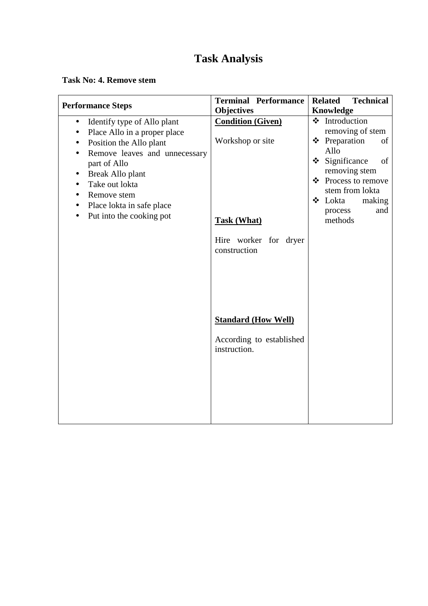**Task No: 4. Remove stem** 

| <b>Terminal Performance</b>                                                                                 | <b>Related</b><br><b>Technical</b>                                                                                                                                                                               |
|-------------------------------------------------------------------------------------------------------------|------------------------------------------------------------------------------------------------------------------------------------------------------------------------------------------------------------------|
|                                                                                                             | Knowledge                                                                                                                                                                                                        |
| <b>Condition (Given)</b><br>Workshop or site<br><b>Task (What)</b><br>Hire worker for dryer<br>construction | ❖ Introduction<br>removing of stem<br>❖ Preparation<br>of<br>Allo<br>$\div$ Significance<br>of<br>removing stem<br>❖ Process to remove<br>stem from lokta<br>$\div$ Lokta<br>making<br>process<br>and<br>methods |
| <b>Standard (How Well)</b><br>According to established<br>instruction.                                      |                                                                                                                                                                                                                  |
|                                                                                                             | <b>Objectives</b>                                                                                                                                                                                                |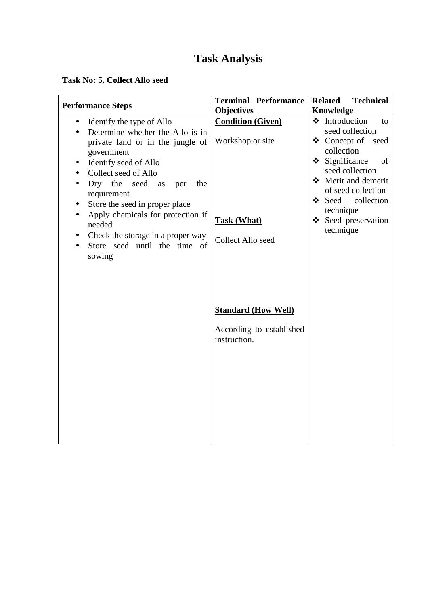#### **Task No: 5. Collect Allo seed**

| <b>Performance Steps</b>                                                                                                                                                                                                                                                                                                                                                                                                                | <b>Terminal Performance</b><br><b>Objectives</b>                                        | <b>Related</b><br><b>Technical</b><br>Knowledge                                                                                                                                                                                                                       |
|-----------------------------------------------------------------------------------------------------------------------------------------------------------------------------------------------------------------------------------------------------------------------------------------------------------------------------------------------------------------------------------------------------------------------------------------|-----------------------------------------------------------------------------------------|-----------------------------------------------------------------------------------------------------------------------------------------------------------------------------------------------------------------------------------------------------------------------|
| Identify the type of Allo<br>$\bullet$<br>Determine whether the Allo is in<br>private land or in the jungle of<br>government<br>Identify seed of Allo<br>$\bullet$<br>Collect seed of Allo<br>$\bullet$<br>Dry the seed<br>the<br>as<br>per<br>requirement<br>Store the seed in proper place<br>Apply chemicals for protection if<br>$\bullet$<br>needed<br>Check the storage in a proper way<br>Store seed until the time of<br>sowing | <b>Condition (Given)</b><br>Workshop or site<br><b>Task (What)</b><br>Collect Allo seed | ❖ Introduction<br>to<br>seed collection<br>$\triangleleft$ Concept of<br>seed<br>collection<br>Significance<br>❖<br>of<br>seed collection<br>Merit and demerit<br>of seed collection<br>$\bullet$ Seed<br>collection<br>technique<br>❖ Seed preservation<br>technique |
|                                                                                                                                                                                                                                                                                                                                                                                                                                         | <b>Standard (How Well)</b><br>According to established<br>instruction.                  |                                                                                                                                                                                                                                                                       |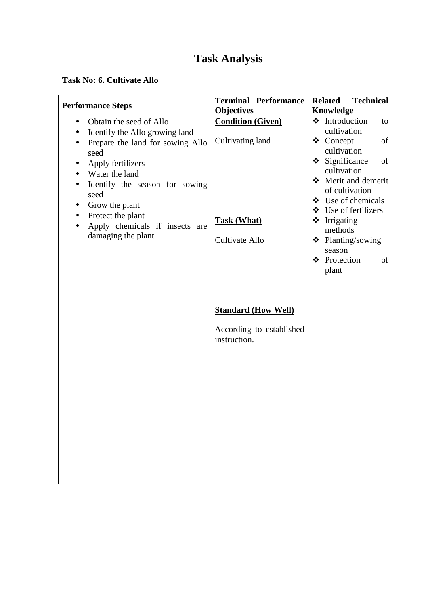#### **Task No: 6. Cultivate Allo**

| <b>Performance Steps</b>                                                        | <b>Terminal Performance</b>              | <b>Technical</b><br><b>Related</b>                                                                    |
|---------------------------------------------------------------------------------|------------------------------------------|-------------------------------------------------------------------------------------------------------|
|                                                                                 | <b>Objectives</b>                        | Knowledge                                                                                             |
| Obtain the seed of Allo<br>$\bullet$<br>Identify the Allo growing land          | <b>Condition (Given)</b>                 | ❖ Introduction<br>to<br>cultivation                                                                   |
| Prepare the land for sowing Allo<br>seed<br>Apply fertilizers<br>Water the land | Cultivating land                         | ❖ Concept<br>of<br>cultivation<br>Significance<br>$\cdot$<br>of<br>cultivation<br>❖ Merit and demerit |
| Identify the season for sowing<br>seed<br>Grow the plant<br>٠                   |                                          | of cultivation<br>$\bullet$ Use of chemicals                                                          |
| Protect the plant<br>Apply chemicals if insects are                             | <b>Task (What)</b>                       | ❖ Use of fertilizers<br>$\div$ Irrigating<br>methods                                                  |
| damaging the plant                                                              | Cultivate Allo                           | ❖ Planting/sowing<br>season                                                                           |
|                                                                                 |                                          | ❖ Protection<br>of<br>plant                                                                           |
|                                                                                 |                                          |                                                                                                       |
|                                                                                 | <b>Standard (How Well)</b>               |                                                                                                       |
|                                                                                 | According to established<br>instruction. |                                                                                                       |
|                                                                                 |                                          |                                                                                                       |
|                                                                                 |                                          |                                                                                                       |
|                                                                                 |                                          |                                                                                                       |
|                                                                                 |                                          |                                                                                                       |
|                                                                                 |                                          |                                                                                                       |
|                                                                                 |                                          |                                                                                                       |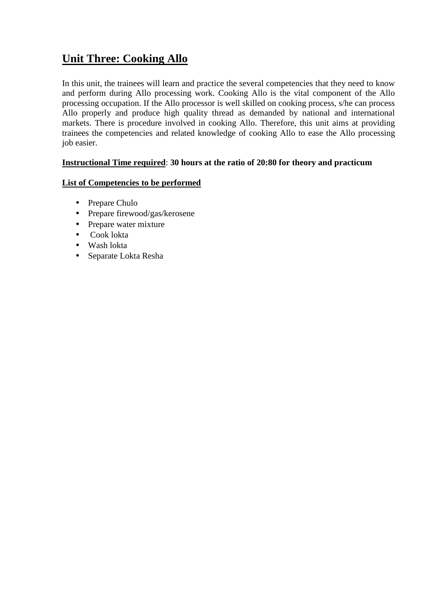### **Unit Three: Cooking Allo**

In this unit, the trainees will learn and practice the several competencies that they need to know and perform during Allo processing work. Cooking Allo is the vital component of the Allo processing occupation. If the Allo processor is well skilled on cooking process, s/he can process Allo properly and produce high quality thread as demanded by national and international markets. There is procedure involved in cooking Allo. Therefore, this unit aims at providing trainees the competencies and related knowledge of cooking Allo to ease the Allo processing job easier.

#### **Instructional Time required**: **30 hours at the ratio of 20:80 for theory and practicum**

#### **List of Competencies to be performed**

- Prepare Chulo
- Prepare firewood/gas/kerosene
- Prepare water mixture
- Cook lokta
- Wash lokta
- Separate Lokta Resha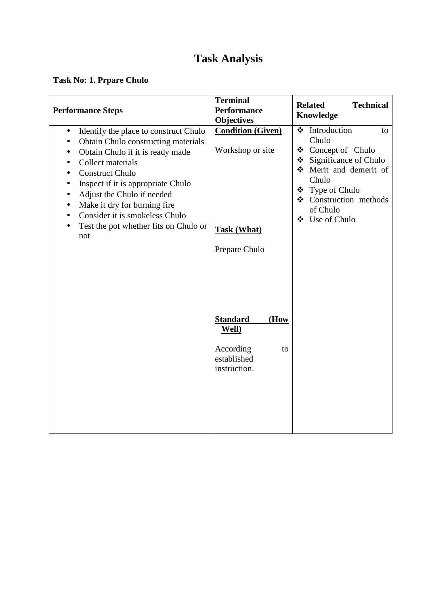### **Task No: 1. Prpare Chulo**

| <b>Performance Steps</b>                                                                                                                                                                                                                                                                                                                                                                                                                                      | <b>Terminal</b><br><b>Performance</b><br>Objectives                                                                                                                       | <b>Technical</b><br><b>Related</b><br>Knowledge                                                                                                                                               |
|---------------------------------------------------------------------------------------------------------------------------------------------------------------------------------------------------------------------------------------------------------------------------------------------------------------------------------------------------------------------------------------------------------------------------------------------------------------|---------------------------------------------------------------------------------------------------------------------------------------------------------------------------|-----------------------------------------------------------------------------------------------------------------------------------------------------------------------------------------------|
| Identify the place to construct Chulo<br>$\bullet$<br>Obtain Chulo constructing materials<br>$\bullet$<br>Obtain Chulo if it is ready made<br>$\bullet$<br>Collect materials<br>$\bullet$<br><b>Construct Chulo</b><br>Inspect if it is appropriate Chulo<br>$\bullet$<br>Adjust the Chulo if needed<br>$\bullet$<br>Make it dry for burning fire<br>$\bullet$<br>Consider it is smokeless Chulo<br>$\bullet$<br>Test the pot whether fits on Chulo or<br>not | <b>Condition (Given)</b><br>Workshop or site<br><b>Task (What)</b><br>Prepare Chulo<br><b>Standard</b><br>(How<br>Well)<br>According<br>to<br>established<br>instruction. | ❖ Introduction<br>to<br>Chulo<br>❖ Concept of Chulo<br>Significance of Chulo<br>❖<br>Merit and demerit of<br>Chulo<br>❖ Type of Chulo<br>❖ Construction methods<br>of Chulo<br>❖ Use of Chulo |
|                                                                                                                                                                                                                                                                                                                                                                                                                                                               |                                                                                                                                                                           |                                                                                                                                                                                               |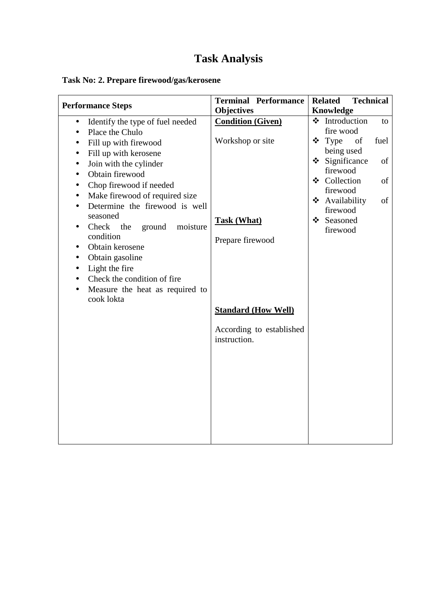### **Task No: 2. Prepare firewood/gas/kerosene**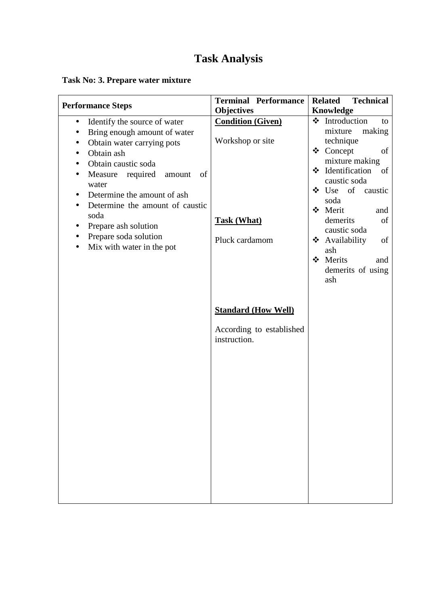### **Task No: 3. Prepare water mixture**

| <b>Performance Steps</b>                                                                                                                                                                                                                                                                                                                                                                                                                                                            | <b>Terminal Performance</b>                                                          | <b>Related</b><br><b>Technical</b>                                                                                                                                                                                                                                                                          |
|-------------------------------------------------------------------------------------------------------------------------------------------------------------------------------------------------------------------------------------------------------------------------------------------------------------------------------------------------------------------------------------------------------------------------------------------------------------------------------------|--------------------------------------------------------------------------------------|-------------------------------------------------------------------------------------------------------------------------------------------------------------------------------------------------------------------------------------------------------------------------------------------------------------|
|                                                                                                                                                                                                                                                                                                                                                                                                                                                                                     | <b>Objectives</b>                                                                    | Knowledge                                                                                                                                                                                                                                                                                                   |
| Identify the source of water<br>$\bullet$<br>Bring enough amount of water<br>$\bullet$<br>Obtain water carrying pots<br>$\bullet$<br>Obtain ash<br>$\bullet$<br>Obtain caustic soda<br>$\bullet$<br>Measure required<br>of<br>amount<br>$\bullet$<br>water<br>Determine the amount of ash<br>$\bullet$<br>Determine the amount of caustic<br>$\bullet$<br>soda<br>Prepare ash solution<br>$\bullet$<br>Prepare soda solution<br>$\bullet$<br>Mix with water in the pot<br>$\bullet$ | <b>Condition (Given)</b><br>Workshop or site<br><b>Task (What)</b><br>Pluck cardamom | ❖ Introduction<br>to<br>mixture<br>making<br>technique<br>❖ Concept<br>of<br>mixture making<br>$\div$ Identification<br>of<br>caustic soda<br>❖ Use of<br>caustic<br>soda<br>❖ Merit<br>and<br>demerits<br>of<br>caustic soda<br>❖ Availability<br>of<br>ash<br>❖ Merits<br>and<br>demerits of using<br>ash |
|                                                                                                                                                                                                                                                                                                                                                                                                                                                                                     | <b>Standard (How Well)</b><br>According to established<br>instruction.               |                                                                                                                                                                                                                                                                                                             |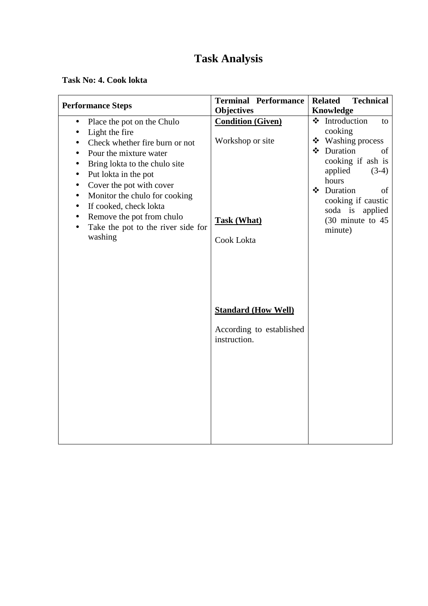#### **Task No: 4. Cook lokta**

| <b>Performance Steps</b>                                                                                                                                                                                                                                                                                                                                                                                                                                                 | <b>Terminal Performance</b>                                                      | <b>Related</b><br><b>Technical</b>                                                                                                                                                                                                                |
|--------------------------------------------------------------------------------------------------------------------------------------------------------------------------------------------------------------------------------------------------------------------------------------------------------------------------------------------------------------------------------------------------------------------------------------------------------------------------|----------------------------------------------------------------------------------|---------------------------------------------------------------------------------------------------------------------------------------------------------------------------------------------------------------------------------------------------|
|                                                                                                                                                                                                                                                                                                                                                                                                                                                                          | <b>Objectives</b>                                                                |                                                                                                                                                                                                                                                   |
| Place the pot on the Chulo<br>$\bullet$<br>Light the fire<br>$\bullet$<br>Check whether fire burn or not<br>$\bullet$<br>Pour the mixture water<br>$\bullet$<br>Bring lokta to the chulo site<br>$\bullet$<br>Put lokta in the pot<br>$\bullet$<br>Cover the pot with cover<br>$\bullet$<br>Monitor the chulo for cooking<br>$\bullet$<br>If cooked, check lokta<br>$\bullet$<br>Remove the pot from chulo<br>$\bullet$<br>Take the pot to the river side for<br>washing | <b>Condition (Given)</b><br>Workshop or site<br><b>Task (What)</b><br>Cook Lokta | Knowledge<br>❖ Introduction<br>to<br>cooking<br>❖ Washing process<br>❖ Duration<br>of<br>cooking if ash is<br>applied<br>$(3-4)$<br>hours<br>❖ Duration<br>of<br>cooking if caustic<br>soda is applied<br>$(30 \text{ minute to } 45)$<br>minute) |
|                                                                                                                                                                                                                                                                                                                                                                                                                                                                          | <b>Standard (How Well)</b><br>According to established<br>instruction.           |                                                                                                                                                                                                                                                   |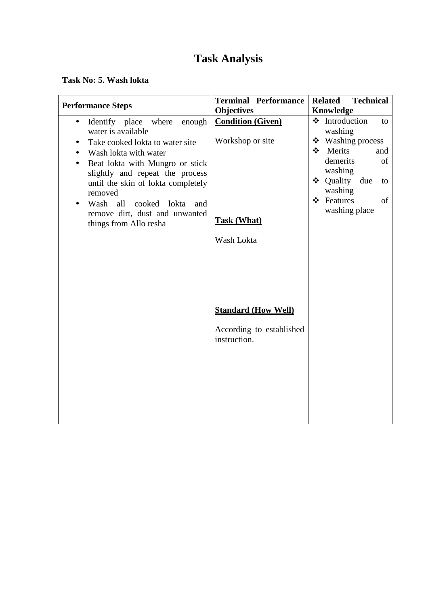**Task No: 5. Wash lokta** 

| <b>Performance Steps</b>                                                                                                                                                                                                                                                                                                                                                                      | <b>Terminal Performance</b>                                                      | <b>Related</b><br><b>Technical</b>                                                                                                                                                                 |
|-----------------------------------------------------------------------------------------------------------------------------------------------------------------------------------------------------------------------------------------------------------------------------------------------------------------------------------------------------------------------------------------------|----------------------------------------------------------------------------------|----------------------------------------------------------------------------------------------------------------------------------------------------------------------------------------------------|
|                                                                                                                                                                                                                                                                                                                                                                                               | <b>Objectives</b>                                                                | Knowledge                                                                                                                                                                                          |
| Identify place<br>where<br>enough<br>$\bullet$<br>water is available<br>Take cooked lokta to water site<br>$\bullet$<br>Wash lokta with water<br>Beat lokta with Mungro or stick<br>$\bullet$<br>slightly and repeat the process<br>until the skin of lokta completely<br>removed<br>Wash all cooked<br>lokta<br>and<br>$\bullet$<br>remove dirt, dust and unwanted<br>things from Allo resha | <b>Condition (Given)</b><br>Workshop or site<br><b>Task (What)</b><br>Wash Lokta | ❖ Introduction<br>to<br>washing<br>$\mathbf{\hat{P}}$ Washing process<br>Merits<br>❖<br>and<br>demerits<br>of<br>washing<br>❖ Quality<br>due<br>to<br>washing<br>❖ Features<br>of<br>washing place |
|                                                                                                                                                                                                                                                                                                                                                                                               | <b>Standard (How Well)</b><br>According to established<br>instruction.           |                                                                                                                                                                                                    |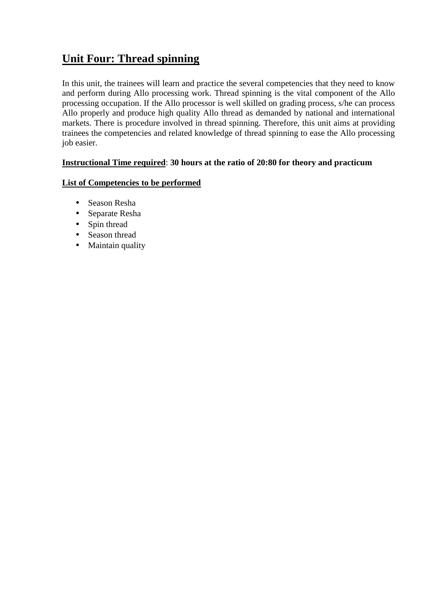### **Unit Four: Thread spinning**

In this unit, the trainees will learn and practice the several competencies that they need to know and perform during Allo processing work. Thread spinning is the vital component of the Allo processing occupation. If the Allo processor is well skilled on grading process, s/he can process Allo properly and produce high quality Allo thread as demanded by national and international markets. There is procedure involved in thread spinning. Therefore, this unit aims at providing trainees the competencies and related knowledge of thread spinning to ease the Allo processing job easier.

#### **Instructional Time required**: **30 hours at the ratio of 20:80 for theory and practicum**

#### **List of Competencies to be performed**

- Season Resha
- Separate Resha
- Spin thread
- Season thread
- Maintain quality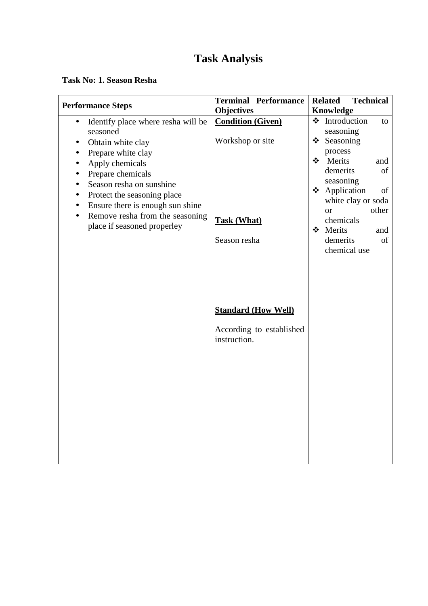#### **Task No: 1. Season Resha**

| <b>Objectives</b><br><b>Knowledge</b><br>❖ Introduction<br><b>Condition (Given)</b><br>Identify place where resha will be<br>to<br>$\bullet$<br>seasoning<br>seasoned<br>Workshop or site<br>❖<br>Seasoning<br>Obtain white clay<br>$\bullet$<br>process<br>Prepare white clay<br>$\bullet$<br>$\frac{1}{2}$<br>Merits<br>and<br>Apply chemicals<br>$\bullet$<br>demerits<br>of<br>Prepare chemicals<br>seasoning<br>Season resha on sunshine<br>$\bullet$ | <b>Performance Steps</b> | <b>Terminal Performance</b> | <b>Related</b> | <b>Technical</b> |    |
|------------------------------------------------------------------------------------------------------------------------------------------------------------------------------------------------------------------------------------------------------------------------------------------------------------------------------------------------------------------------------------------------------------------------------------------------------------|--------------------------|-----------------------------|----------------|------------------|----|
|                                                                                                                                                                                                                                                                                                                                                                                                                                                            |                          |                             |                |                  |    |
|                                                                                                                                                                                                                                                                                                                                                                                                                                                            |                          |                             |                |                  |    |
|                                                                                                                                                                                                                                                                                                                                                                                                                                                            |                          |                             |                |                  |    |
|                                                                                                                                                                                                                                                                                                                                                                                                                                                            |                          |                             |                |                  |    |
|                                                                                                                                                                                                                                                                                                                                                                                                                                                            |                          |                             |                |                  |    |
|                                                                                                                                                                                                                                                                                                                                                                                                                                                            |                          |                             |                |                  |    |
|                                                                                                                                                                                                                                                                                                                                                                                                                                                            |                          |                             |                |                  |    |
|                                                                                                                                                                                                                                                                                                                                                                                                                                                            |                          |                             |                |                  |    |
| ❖ Application<br>Protect the seasoning place<br>$\bullet$                                                                                                                                                                                                                                                                                                                                                                                                  |                          |                             |                |                  | of |
| white clay or soda<br>Ensure there is enough sun shine<br>$\bullet$                                                                                                                                                                                                                                                                                                                                                                                        |                          |                             |                |                  |    |
| other<br><b>or</b><br>Remove resha from the seasoning                                                                                                                                                                                                                                                                                                                                                                                                      |                          |                             |                |                  |    |
| chemicals<br><b>Task (What)</b><br>place if seasoned properley<br>❖ Merits<br>and                                                                                                                                                                                                                                                                                                                                                                          |                          |                             |                |                  |    |
| Season resha<br>demerits<br>of                                                                                                                                                                                                                                                                                                                                                                                                                             |                          |                             |                |                  |    |
| chemical use                                                                                                                                                                                                                                                                                                                                                                                                                                               |                          |                             |                |                  |    |
|                                                                                                                                                                                                                                                                                                                                                                                                                                                            |                          |                             |                |                  |    |
|                                                                                                                                                                                                                                                                                                                                                                                                                                                            |                          |                             |                |                  |    |
|                                                                                                                                                                                                                                                                                                                                                                                                                                                            |                          |                             |                |                  |    |
|                                                                                                                                                                                                                                                                                                                                                                                                                                                            |                          |                             |                |                  |    |
|                                                                                                                                                                                                                                                                                                                                                                                                                                                            |                          |                             |                |                  |    |
| <b>Standard (How Well)</b>                                                                                                                                                                                                                                                                                                                                                                                                                                 |                          |                             |                |                  |    |
|                                                                                                                                                                                                                                                                                                                                                                                                                                                            |                          |                             |                |                  |    |
| According to established                                                                                                                                                                                                                                                                                                                                                                                                                                   |                          |                             |                |                  |    |
| instruction.                                                                                                                                                                                                                                                                                                                                                                                                                                               |                          |                             |                |                  |    |
|                                                                                                                                                                                                                                                                                                                                                                                                                                                            |                          |                             |                |                  |    |
|                                                                                                                                                                                                                                                                                                                                                                                                                                                            |                          |                             |                |                  |    |
|                                                                                                                                                                                                                                                                                                                                                                                                                                                            |                          |                             |                |                  |    |
|                                                                                                                                                                                                                                                                                                                                                                                                                                                            |                          |                             |                |                  |    |
|                                                                                                                                                                                                                                                                                                                                                                                                                                                            |                          |                             |                |                  |    |
|                                                                                                                                                                                                                                                                                                                                                                                                                                                            |                          |                             |                |                  |    |
|                                                                                                                                                                                                                                                                                                                                                                                                                                                            |                          |                             |                |                  |    |
|                                                                                                                                                                                                                                                                                                                                                                                                                                                            |                          |                             |                |                  |    |
|                                                                                                                                                                                                                                                                                                                                                                                                                                                            |                          |                             |                |                  |    |
|                                                                                                                                                                                                                                                                                                                                                                                                                                                            |                          |                             |                |                  |    |
|                                                                                                                                                                                                                                                                                                                                                                                                                                                            |                          |                             |                |                  |    |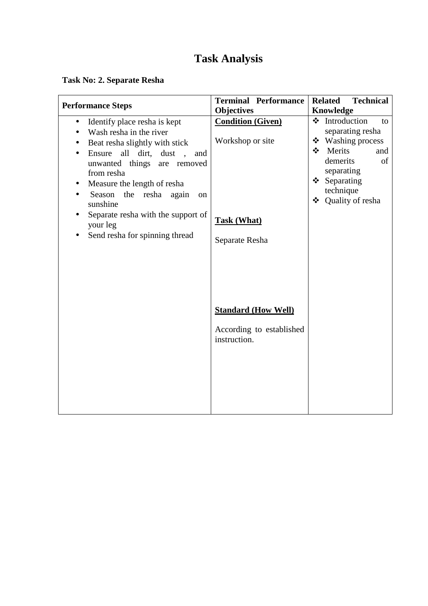### **Task No: 2. Separate Resha**

| <b>Performance Steps</b>                                                                                                                                                                                                                                                                                                                                               | <b>Terminal Performance</b>                                                                                                                                                         | <b>Technical</b><br><b>Related</b>                                                                                                                                                                   |
|------------------------------------------------------------------------------------------------------------------------------------------------------------------------------------------------------------------------------------------------------------------------------------------------------------------------------------------------------------------------|-------------------------------------------------------------------------------------------------------------------------------------------------------------------------------------|------------------------------------------------------------------------------------------------------------------------------------------------------------------------------------------------------|
|                                                                                                                                                                                                                                                                                                                                                                        |                                                                                                                                                                                     |                                                                                                                                                                                                      |
| Identify place resha is kept<br>$\bullet$<br>Wash resha in the river<br>Beat resha slightly with stick<br>all dirt, dust,<br>Ensure<br>and<br>unwanted things are removed<br>from resha<br>Measure the length of resha<br>Season<br>the resha again<br>on<br>$\bullet$<br>sunshine<br>Separate resha with the support of<br>your leg<br>Send resha for spinning thread | <b>Objectives</b><br><b>Condition (Given)</b><br>Workshop or site<br><b>Task (What)</b><br>Separate Resha<br><b>Standard (How Well)</b><br>According to established<br>instruction. | Knowledge<br>❖ Introduction<br>to<br>separating resha<br>$\bullet$ Washing process<br>Merits<br>$\cdot$<br>and<br>demerits<br>of<br>separating<br>Separating<br>❖<br>technique<br>❖ Quality of resha |
|                                                                                                                                                                                                                                                                                                                                                                        |                                                                                                                                                                                     |                                                                                                                                                                                                      |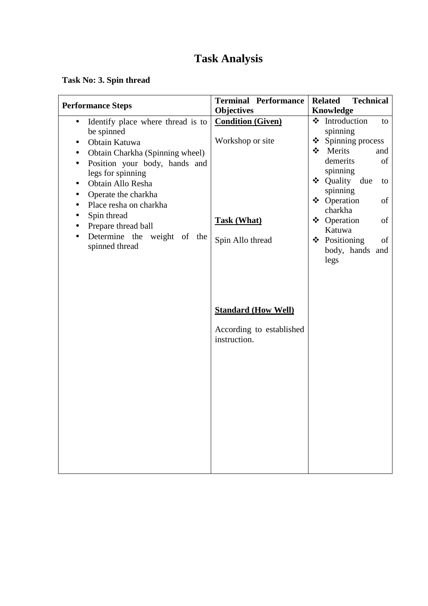### **Task No: 3. Spin thread**

|                                                                 | <b>Terminal Performance</b>              |         | <b>Technical</b><br><b>Related</b> |     |
|-----------------------------------------------------------------|------------------------------------------|---------|------------------------------------|-----|
| <b>Performance Steps</b>                                        | <b>Objectives</b>                        |         | Knowledge                          |     |
| Identify place where thread is to<br>$\bullet$<br>be spinned    | <b>Condition (Given)</b>                 |         | ❖ Introduction<br>spinning         | to  |
| Obtain Katuwa<br>$\bullet$                                      | Workshop or site                         |         | $\div$ Spinning process            |     |
| Obtain Charkha (Spinning wheel)                                 |                                          | $\cdot$ | Merits                             | and |
| Position your body, hands and<br>$\bullet$<br>legs for spinning |                                          |         | demerits<br>spinning               | of  |
| Obtain Allo Resha<br>$\bullet$                                  |                                          |         | ❖ Quality due                      | to  |
| Operate the charkha<br>$\bullet$<br>Place resha on charkha      |                                          |         | spinning<br>❖ Operation            | of  |
| $\bullet$<br>Spin thread                                        |                                          |         | charkha                            |     |
| Prepare thread ball                                             | <b>Task (What)</b>                       |         | ❖ Operation<br>Katuwa              | of  |
| Determine the weight of the<br>$\bullet$                        | Spin Allo thread                         |         | ❖ Positioning                      | of  |
| spinned thread                                                  |                                          |         | body, hands and<br>legs            |     |
|                                                                 |                                          |         |                                    |     |
|                                                                 |                                          |         |                                    |     |
|                                                                 |                                          |         |                                    |     |
|                                                                 | <b>Standard (How Well)</b>               |         |                                    |     |
|                                                                 | According to established<br>instruction. |         |                                    |     |
|                                                                 |                                          |         |                                    |     |
|                                                                 |                                          |         |                                    |     |
|                                                                 |                                          |         |                                    |     |
|                                                                 |                                          |         |                                    |     |
|                                                                 |                                          |         |                                    |     |
|                                                                 |                                          |         |                                    |     |
|                                                                 |                                          |         |                                    |     |
|                                                                 |                                          |         |                                    |     |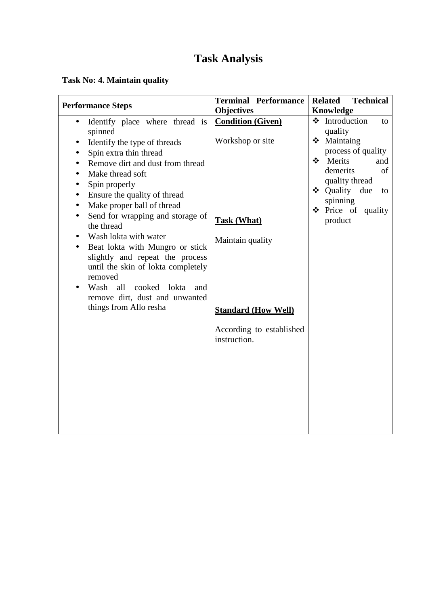### **Task No: 4. Maintain quality**

| <b>Performance Steps</b>                                                                                                                                                                                                                                                                                                                                                                                                                                                                                                                                                                                                                                                            | <b>Terminal Performance</b>                                                                                                                                                           | <b>Related</b><br><b>Technical</b>                                                                                                                                                                                          |
|-------------------------------------------------------------------------------------------------------------------------------------------------------------------------------------------------------------------------------------------------------------------------------------------------------------------------------------------------------------------------------------------------------------------------------------------------------------------------------------------------------------------------------------------------------------------------------------------------------------------------------------------------------------------------------------|---------------------------------------------------------------------------------------------------------------------------------------------------------------------------------------|-----------------------------------------------------------------------------------------------------------------------------------------------------------------------------------------------------------------------------|
|                                                                                                                                                                                                                                                                                                                                                                                                                                                                                                                                                                                                                                                                                     |                                                                                                                                                                                       |                                                                                                                                                                                                                             |
| Identify place where thread is<br>$\bullet$<br>spinned<br>Identify the type of threads<br>$\bullet$<br>Spin extra thin thread<br>$\bullet$<br>Remove dirt and dust from thread<br>$\bullet$<br>Make thread soft<br>Spin properly<br>$\bullet$<br>Ensure the quality of thread<br>$\bullet$<br>Make proper ball of thread<br>$\bullet$<br>Send for wrapping and storage of<br>$\bullet$<br>the thread<br>Wash lokta with water<br>$\bullet$<br>Beat lokta with Mungro or stick<br>$\bullet$<br>slightly and repeat the process<br>until the skin of lokta completely<br>removed<br>Wash<br>all<br>cooked<br>lokta<br>and<br>remove dirt, dust and unwanted<br>things from Allo resha | <b>Objectives</b><br><b>Condition (Given)</b><br>Workshop or site<br><b>Task (What)</b><br>Maintain quality<br><b>Standard (How Well)</b><br>According to established<br>instruction. | Knowledge<br>❖ Introduction<br>to<br>quality<br>❖ Maintaing<br>process of quality<br>❖ Merits<br>and<br>demerits<br>of<br>quality thread<br>$\triangleleft$ Quality<br>due<br>to<br>spinning<br>Price of quality<br>product |
|                                                                                                                                                                                                                                                                                                                                                                                                                                                                                                                                                                                                                                                                                     |                                                                                                                                                                                       |                                                                                                                                                                                                                             |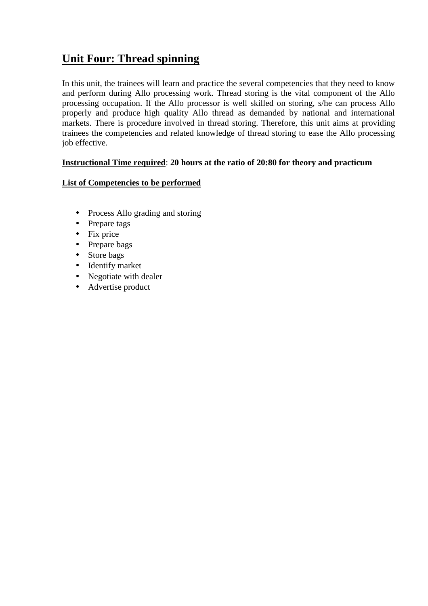### **Unit Four: Thread spinning**

In this unit, the trainees will learn and practice the several competencies that they need to know and perform during Allo processing work. Thread storing is the vital component of the Allo processing occupation. If the Allo processor is well skilled on storing, s/he can process Allo properly and produce high quality Allo thread as demanded by national and international markets. There is procedure involved in thread storing. Therefore, this unit aims at providing trainees the competencies and related knowledge of thread storing to ease the Allo processing job effective.

#### **Instructional Time required**: **20 hours at the ratio of 20:80 for theory and practicum**

#### **List of Competencies to be performed**

- Process Allo grading and storing
- Prepare tags
- Fix price
- Prepare bags
- Store bags
- Identify market
- Negotiate with dealer
- Advertise product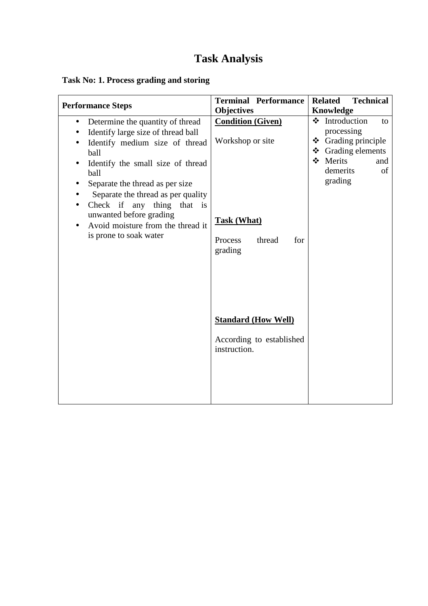### **Task No: 1. Process grading and storing**

| <b>Performance Steps</b>                                                                                                                                                                                                                                                                                                                                                                                                                           | <b>Terminal Performance</b><br><b>Objectives</b>                                                          | <b>Related</b><br><b>Technical</b><br><b>Knowledge</b>                                                                                       |
|----------------------------------------------------------------------------------------------------------------------------------------------------------------------------------------------------------------------------------------------------------------------------------------------------------------------------------------------------------------------------------------------------------------------------------------------------|-----------------------------------------------------------------------------------------------------------|----------------------------------------------------------------------------------------------------------------------------------------------|
| Determine the quantity of thread<br>$\bullet$<br>Identify large size of thread ball<br>Identify medium size of thread<br>$\bullet$<br>ball<br>Identify the small size of thread<br>$\bullet$<br>ball<br>Separate the thread as per size<br>٠<br>Separate the thread as per quality<br>Check if any thing that<br>$\frac{1}{1}$<br>$\bullet$<br>unwanted before grading<br>Avoid moisture from the thread it<br>$\bullet$<br>is prone to soak water | <b>Condition (Given)</b><br>Workshop or site<br><b>Task (What)</b><br>Process<br>thread<br>for<br>grading | $\div$ Introduction<br>to<br>processing<br>Grading principle<br>❖<br>$\div$ Grading elements<br>❖ Merits<br>and<br>demerits<br>of<br>grading |
|                                                                                                                                                                                                                                                                                                                                                                                                                                                    | <b>Standard (How Well)</b><br>According to established<br>instruction.                                    |                                                                                                                                              |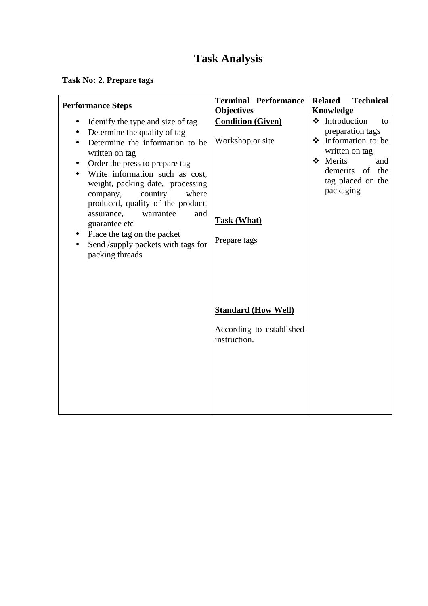**Task No: 2. Prepare tags** 

| <b>Performance Steps</b>                                                                                                                                                                                                                                                                                                                                                                                                                                     | <b>Terminal Performance</b><br><b>Objectives</b>                                                                                                             | <b>Related</b><br><b>Technical</b><br>Knowledge                                                                                                           |
|--------------------------------------------------------------------------------------------------------------------------------------------------------------------------------------------------------------------------------------------------------------------------------------------------------------------------------------------------------------------------------------------------------------------------------------------------------------|--------------------------------------------------------------------------------------------------------------------------------------------------------------|-----------------------------------------------------------------------------------------------------------------------------------------------------------|
| Identify the type and size of tag<br>$\bullet$<br>Determine the quality of tag<br>Determine the information to be<br>written on tag<br>Order the press to prepare tag<br>Write information such as cost,<br>weight, packing date, processing<br>company,<br>country<br>where<br>produced, quality of the product,<br>and<br>assurance,<br>warrantee<br>guarantee etc<br>Place the tag on the packet<br>Send /supply packets with tags for<br>packing threads | <b>Condition (Given)</b><br>Workshop or site<br><b>Task (What)</b><br>Prepare tags<br><b>Standard (How Well)</b><br>According to established<br>instruction. | ❖ Introduction<br>to<br>preparation tags<br>❖ Information to be<br>written on tag<br>❖ Merits<br>and<br>demerits of the<br>tag placed on the<br>packaging |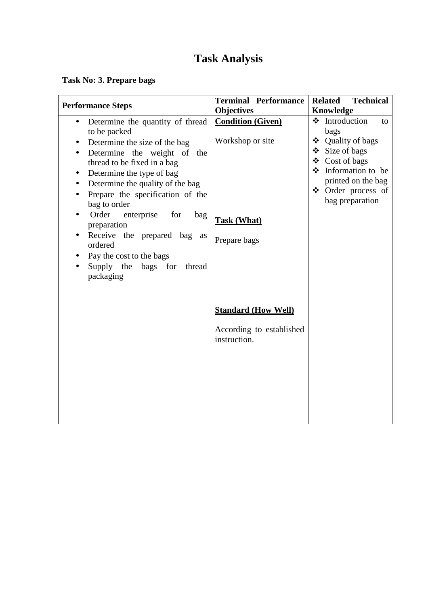### **Task No: 3. Prepare bags**

| <b>Terminal Performance</b>                                                        | <b>Related</b><br><b>Technical</b>                                                                                                                                        |
|------------------------------------------------------------------------------------|---------------------------------------------------------------------------------------------------------------------------------------------------------------------------|
| <b>Objectives</b>                                                                  | Knowledge                                                                                                                                                                 |
| <b>Condition (Given)</b><br>Workshop or site<br><b>Task (What)</b><br>Prepare bags | ❖ Introduction<br>to<br>bags<br>❖ Quality of bags<br>❖ Size of bags<br>❖ Cost of bags<br>Information to be<br>printed on the bag<br>❖ Order process of<br>bag preparation |
| <b>Standard (How Well)</b>                                                         |                                                                                                                                                                           |
| According to established<br>instruction.                                           |                                                                                                                                                                           |
|                                                                                    |                                                                                                                                                                           |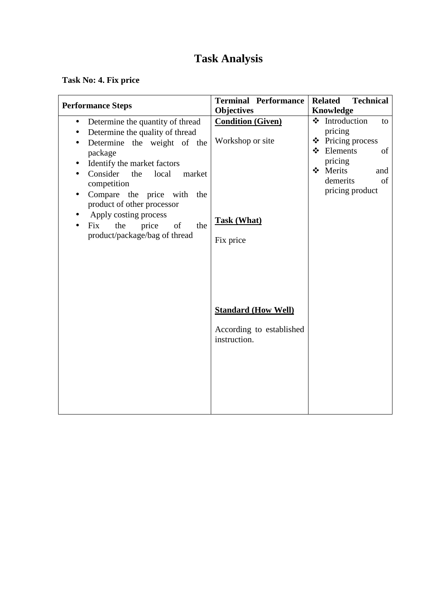### **Task No: 4. Fix price**

| <b>Performance Steps</b>                                                                                                                                                                                                                                                                                                                                                    | <b>Terminal Performance</b>                                                                                                                                                    | <b>Related</b><br><b>Technical</b>                                                                                                                     |
|-----------------------------------------------------------------------------------------------------------------------------------------------------------------------------------------------------------------------------------------------------------------------------------------------------------------------------------------------------------------------------|--------------------------------------------------------------------------------------------------------------------------------------------------------------------------------|--------------------------------------------------------------------------------------------------------------------------------------------------------|
|                                                                                                                                                                                                                                                                                                                                                                             |                                                                                                                                                                                |                                                                                                                                                        |
| Determine the quantity of thread<br>$\bullet$<br>Determine the quality of thread<br>Determine the weight of the<br>package<br>Identify the market factors<br>Consider<br>local<br>market<br>the<br>competition<br>Compare the price with<br>the<br>product of other processor<br>Apply costing process<br>the<br>price<br>of<br>the<br>Fix<br>product/package/bag of thread | <b>Objectives</b><br><b>Condition (Given)</b><br>Workshop or site<br><b>Task (What)</b><br>Fix price<br><b>Standard (How Well)</b><br>According to established<br>instruction. | Knowledge<br>❖ Introduction<br>to<br>pricing<br>❖ Pricing process<br>❖ Elements<br>of<br>pricing<br>Merits<br>and<br>demerits<br>of<br>pricing product |
|                                                                                                                                                                                                                                                                                                                                                                             |                                                                                                                                                                                |                                                                                                                                                        |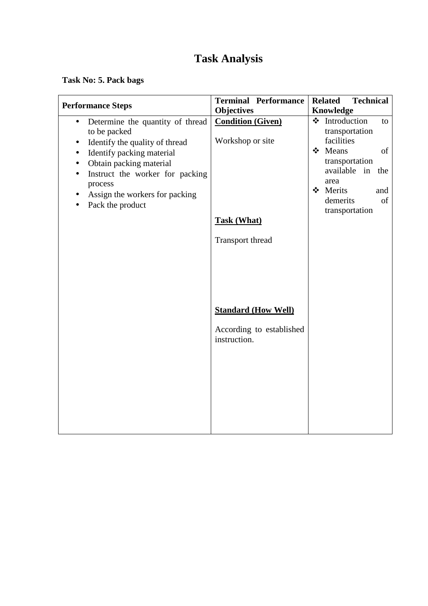**Task No: 5. Pack bags** 

| <b>Terminal Performance</b>                  | <b>Related</b><br><b>Technical</b><br>Knowledge                |
|----------------------------------------------|----------------------------------------------------------------|
| <b>Condition (Given)</b><br>Workshop or site | ❖ Introduction<br>to<br>transportation<br>facilities           |
|                                              | ❖ Means<br>of<br>transportation<br>available in<br>the<br>area |
|                                              | ❖ Merits<br>and<br>demerits<br>of<br>transportation            |
| Transport thread                             |                                                                |
|                                              |                                                                |
| <b>Standard (How Well)</b>                   |                                                                |
| According to established<br>instruction.     |                                                                |
|                                              |                                                                |
|                                              |                                                                |
|                                              | <b>Objectives</b><br><b>Task (What)</b>                        |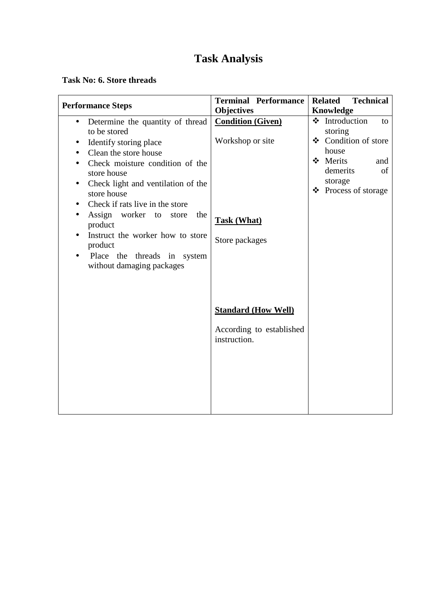#### **Task No: 6. Store threads**

| <b>Performance Steps</b>                                                                                                                                                                                                                                                                                                                                                                                                                                            | <b>Terminal Performance</b>                                                          | <b>Related</b><br><b>Technical</b>                                                                                                       |  |  |
|---------------------------------------------------------------------------------------------------------------------------------------------------------------------------------------------------------------------------------------------------------------------------------------------------------------------------------------------------------------------------------------------------------------------------------------------------------------------|--------------------------------------------------------------------------------------|------------------------------------------------------------------------------------------------------------------------------------------|--|--|
|                                                                                                                                                                                                                                                                                                                                                                                                                                                                     | <b>Objectives</b>                                                                    | Knowledge                                                                                                                                |  |  |
| Determine the quantity of thread<br>$\bullet$<br>to be stored<br>Identify storing place<br>$\bullet$<br>Clean the store house<br>$\bullet$<br>Check moisture condition of the<br>store house<br>Check light and ventilation of the<br>store house<br>Check if rats live in the store<br>٠<br>Assign worker<br>to<br>store<br>the<br>product<br>Instruct the worker how to store<br>product<br>Place the threads in system<br>$\bullet$<br>without damaging packages | <b>Condition (Given)</b><br>Workshop or site<br><b>Task (What)</b><br>Store packages | ❖ Introduction<br>to<br>storing<br>❖ Condition of store<br>house<br>❖ Merits<br>and<br>demerits<br>of<br>storage<br>❖ Process of storage |  |  |
|                                                                                                                                                                                                                                                                                                                                                                                                                                                                     | <b>Standard (How Well)</b><br>According to established<br>instruction.               |                                                                                                                                          |  |  |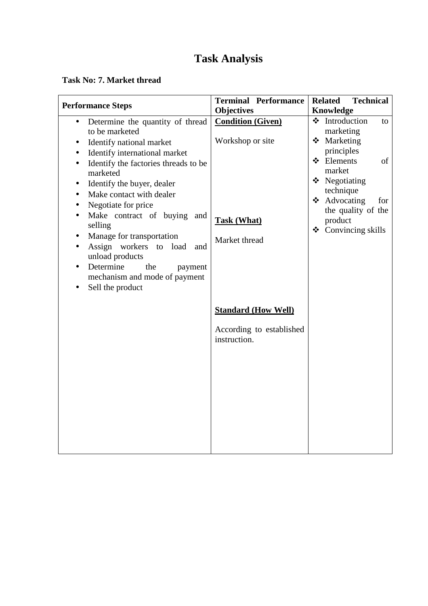#### **Task No: 7. Market thread**

| <b>Performance Steps</b>                                                                                                                                                                                                                                                                                                                                                                                                                                                                                                                                                                    | <b>Terminal Performance</b>                                                         | <b>Technical</b><br><b>Related</b>                                                                                                                                                                             |
|---------------------------------------------------------------------------------------------------------------------------------------------------------------------------------------------------------------------------------------------------------------------------------------------------------------------------------------------------------------------------------------------------------------------------------------------------------------------------------------------------------------------------------------------------------------------------------------------|-------------------------------------------------------------------------------------|----------------------------------------------------------------------------------------------------------------------------------------------------------------------------------------------------------------|
|                                                                                                                                                                                                                                                                                                                                                                                                                                                                                                                                                                                             | <b>Objectives</b>                                                                   | <b>Knowledge</b>                                                                                                                                                                                               |
| Determine the quantity of thread<br>$\bullet$<br>to be marketed<br>Identify national market<br>$\bullet$<br>Identify international market<br>$\bullet$<br>Identify the factories threads to be<br>$\bullet$<br>marketed<br>Identify the buyer, dealer<br>$\bullet$<br>Make contact with dealer<br>$\bullet$<br>Negotiate for price<br>$\bullet$<br>Make contract of buying<br>and<br>$\bullet$<br>selling<br>Manage for transportation<br>$\bullet$<br>Assign workers to load<br>and<br>unload products<br>Determine<br>the<br>payment<br>mechanism and mode of payment<br>Sell the product | <b>Condition (Given)</b><br>Workshop or site<br><b>Task (What)</b><br>Market thread | ❖ Introduction<br>to<br>marketing<br>❖ Marketing<br>principles<br>❖ Elements<br>of<br>market<br>$\div$ Negotiating<br>technique<br>❖ Advocating<br>for<br>the quality of the<br>product<br>❖ Convincing skills |
|                                                                                                                                                                                                                                                                                                                                                                                                                                                                                                                                                                                             | <b>Standard (How Well)</b><br>According to established<br>instruction.              |                                                                                                                                                                                                                |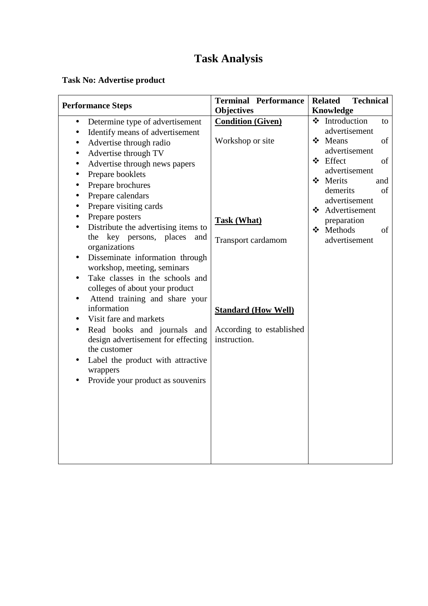### **Task No: Advertise product**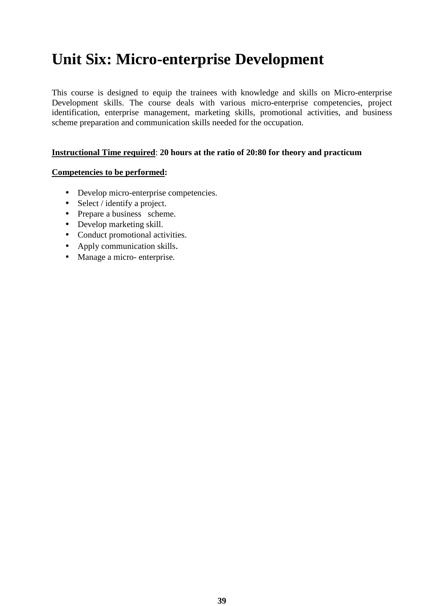# **Unit Six: Micro-enterprise Development**

This course is designed to equip the trainees with knowledge and skills on Micro-enterprise Development skills. The course deals with various micro-enterprise competencies, project identification, enterprise management, marketing skills, promotional activities, and business scheme preparation and communication skills needed for the occupation.

#### **Instructional Time required**: **20 hours at the ratio of 20:80 for theory and practicum**

#### **Competencies to be performed:**

- Develop micro-enterprise competencies.
- Select / identify a project.
- Prepare a business scheme.
- Develop marketing skill.
- Conduct promotional activities.
- Apply communication skills.
- Manage a micro- enterprise.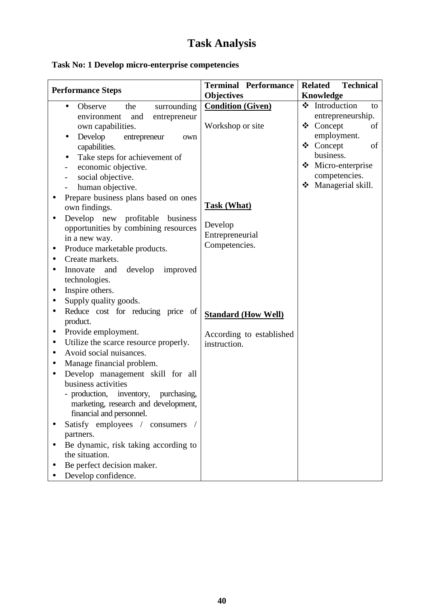|                                                                                              |                             | <b>Terminal Performance</b> | <b>Related</b>                      | <b>Technical</b> |    |
|----------------------------------------------------------------------------------------------|-----------------------------|-----------------------------|-------------------------------------|------------------|----|
| <b>Performance Steps</b>                                                                     |                             | <b>Objectives</b>           | Knowledge                           |                  |    |
| Observe<br>the<br>$\bullet$<br>environment<br>and                                            | surrounding<br>entrepreneur | <b>Condition (Given)</b>    | ❖ Introduction<br>entrepreneurship. |                  | to |
| own capabilities.                                                                            |                             | Workshop or site            | ❖ Concept                           |                  | of |
| Develop<br>entrepreneur                                                                      | own                         |                             | employment.                         |                  |    |
| capabilities.                                                                                |                             |                             | ❖ Concept                           |                  | of |
| Take steps for achievement of<br>$\bullet$                                                   |                             |                             | business.                           |                  |    |
| economic objective.                                                                          |                             |                             | Micro-enterprise                    |                  |    |
| social objective.                                                                            |                             |                             | competencies.                       |                  |    |
| human objective.                                                                             |                             |                             | Managerial skill.                   |                  |    |
| Prepare business plans based on ones                                                         |                             |                             |                                     |                  |    |
| own findings.                                                                                |                             | <b>Task (What)</b>          |                                     |                  |    |
| Develop new profitable business                                                              |                             |                             |                                     |                  |    |
| opportunities by combining resources                                                         |                             | Develop<br>Entrepreneurial  |                                     |                  |    |
| in a new way.                                                                                |                             | Competencies.               |                                     |                  |    |
| Produce marketable products.<br>$\bullet$                                                    |                             |                             |                                     |                  |    |
| Create markets.                                                                              |                             |                             |                                     |                  |    |
| Innovate and<br>develop<br>technologies.                                                     | improved                    |                             |                                     |                  |    |
| Inspire others.<br>$\bullet$                                                                 |                             |                             |                                     |                  |    |
| Supply quality goods.                                                                        |                             |                             |                                     |                  |    |
| Reduce cost for reducing price of<br>$\bullet$<br>product.                                   |                             | <b>Standard (How Well)</b>  |                                     |                  |    |
| Provide employment.<br>$\bullet$                                                             |                             | According to established    |                                     |                  |    |
| Utilize the scarce resource properly.                                                        |                             | instruction.                |                                     |                  |    |
| Avoid social nuisances.<br>$\bullet$                                                         |                             |                             |                                     |                  |    |
| Manage financial problem.<br>$\bullet$                                                       |                             |                             |                                     |                  |    |
| Develop management skill for all<br>$\bullet$                                                |                             |                             |                                     |                  |    |
| business activities                                                                          |                             |                             |                                     |                  |    |
| - production, inventory,<br>marketing, research and development,<br>financial and personnel. | purchasing,                 |                             |                                     |                  |    |
| Satisfy employees /                                                                          | consumers                   |                             |                                     |                  |    |
| partners.                                                                                    |                             |                             |                                     |                  |    |
| Be dynamic, risk taking according to                                                         |                             |                             |                                     |                  |    |
| the situation.                                                                               |                             |                             |                                     |                  |    |
| Be perfect decision maker.                                                                   |                             |                             |                                     |                  |    |
| Develop confidence.                                                                          |                             |                             |                                     |                  |    |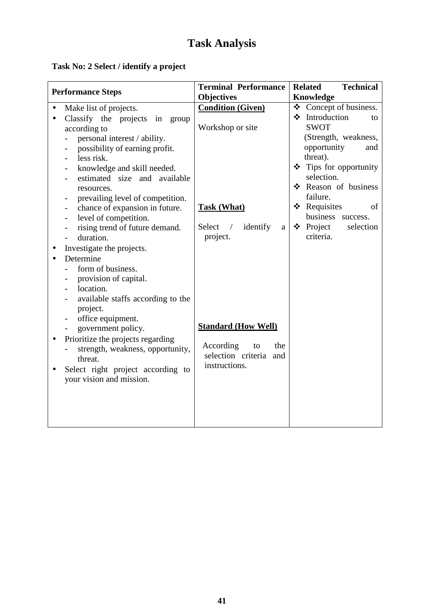### **Task No: 2 Select / identify a project**

| <b>Performance Steps</b>                       | <b>Terminal Performance</b>           | <b>Related</b><br><b>Technical</b> |
|------------------------------------------------|---------------------------------------|------------------------------------|
|                                                | <b>Objectives</b>                     | <b>Knowledge</b>                   |
| Make list of projects.<br>$\bullet$            | <b>Condition (Given)</b>              | Concept of business.               |
| Classify the projects in group<br>$\bullet$    |                                       | ❖ Introduction<br>to               |
| according to                                   | Workshop or site                      | <b>SWOT</b>                        |
| personal interest / ability.                   |                                       | (Strength, weakness,               |
| possibility of earning profit.                 |                                       | opportunity<br>and                 |
| less risk.                                     |                                       | threat).                           |
| knowledge and skill needed.                    |                                       | Tips for opportunity               |
| estimated size and available                   |                                       | selection.                         |
| resources.                                     |                                       | Reason of business                 |
| prevailing level of competition.               |                                       | failure.                           |
| chance of expansion in future.                 | <b>Task (What)</b>                    | ❖ Requisites<br>of                 |
| level of competition.                          |                                       | business success.                  |
| rising trend of future demand.                 | identify<br>Select<br>$\sqrt{2}$<br>a | $\bullet$ Project<br>selection     |
| duration.                                      | project.                              | criteria.                          |
| Investigate the projects.                      |                                       |                                    |
| Determine                                      |                                       |                                    |
| form of business.                              |                                       |                                    |
| provision of capital.                          |                                       |                                    |
| location.                                      |                                       |                                    |
| available staffs according to the              |                                       |                                    |
| project.                                       |                                       |                                    |
| office equipment.                              |                                       |                                    |
| government policy.                             | <b>Standard (How Well)</b>            |                                    |
| Prioritize the projects regarding<br>$\bullet$ |                                       |                                    |
| strength, weakness, opportunity,               | According<br>to<br>the                |                                    |
| threat.                                        | selection criteria and                |                                    |
| Select right project according to              | instructions.                         |                                    |
| your vision and mission.                       |                                       |                                    |
|                                                |                                       |                                    |
|                                                |                                       |                                    |
|                                                |                                       |                                    |
|                                                |                                       |                                    |
|                                                |                                       |                                    |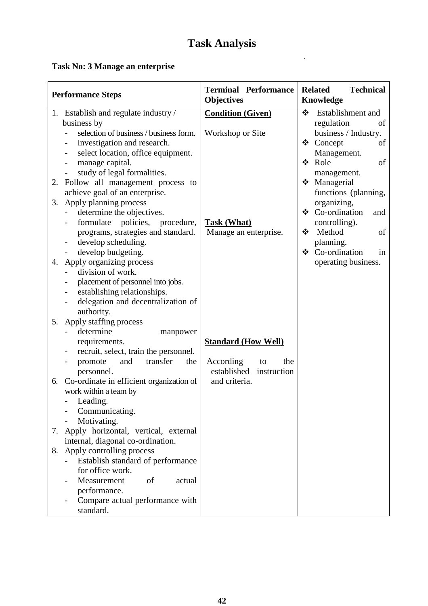.

### **Task No: 3 Manage an enterprise**

| <b>Performance Steps</b>                       | <b>Terminal Performance</b><br><b>Objectives</b> | <b>Related</b><br><b>Technical</b><br>Knowledge |
|------------------------------------------------|--------------------------------------------------|-------------------------------------------------|
| 1. Establish and regulate industry /           | <b>Condition (Given)</b>                         | ❖ Establishment and                             |
| business by                                    |                                                  | regulation<br>of                                |
| selection of business / business form.         | Workshop or Site                                 | business / Industry.                            |
| investigation and research.                    |                                                  | ❖ Concept<br>of                                 |
| select location, office equipment.             |                                                  | Management.                                     |
| manage capital.                                |                                                  | ❖<br>Role<br>of                                 |
| study of legal formalities.                    |                                                  | management.                                     |
| Follow all management process to<br>2.         |                                                  | Managerial                                      |
| achieve goal of an enterprise.                 |                                                  | functions (planning,                            |
| Apply planning process<br>3.                   |                                                  | organizing,                                     |
| determine the objectives.                      |                                                  | ❖ Co-ordination<br>and                          |
| formulate policies, procedure,                 | <b>Task (What)</b>                               | controlling).                                   |
| programs, strategies and standard.             | Manage an enterprise.                            | Method<br>❖<br>of                               |
| develop scheduling.                            |                                                  | planning.                                       |
| develop budgeting.                             |                                                  | ❖ Co-ordination<br>in                           |
| Apply organizing process<br>4.                 |                                                  | operating business.                             |
| division of work.                              |                                                  |                                                 |
| placement of personnel into jobs.              |                                                  |                                                 |
| establishing relationships.                    |                                                  |                                                 |
| delegation and decentralization of             |                                                  |                                                 |
| authority.                                     |                                                  |                                                 |
| Apply staffing process<br>5.                   |                                                  |                                                 |
| determine<br>manpower                          |                                                  |                                                 |
| requirements.                                  | <b>Standard (How Well)</b>                       |                                                 |
| recruit, select, train the personnel.          |                                                  |                                                 |
| transfer<br>promote<br>and<br>the              | According<br>the<br>to                           |                                                 |
| personnel.                                     | established<br>instruction                       |                                                 |
| Co-ordinate in efficient organization of<br>6. | and criteria.                                    |                                                 |
| work within a team by                          |                                                  |                                                 |
| - Leading.                                     |                                                  |                                                 |
| Communicating.                                 |                                                  |                                                 |
| Motivating.                                    |                                                  |                                                 |
| Apply horizontal, vertical, external<br>7.     |                                                  |                                                 |
| internal, diagonal co-ordination.              |                                                  |                                                 |
| Apply controlling process<br>8.                |                                                  |                                                 |
| Establish standard of performance              |                                                  |                                                 |
| for office work.                               |                                                  |                                                 |
| Measurement<br>of<br>actual                    |                                                  |                                                 |
| performance.                                   |                                                  |                                                 |
| Compare actual performance with                |                                                  |                                                 |
| standard.                                      |                                                  |                                                 |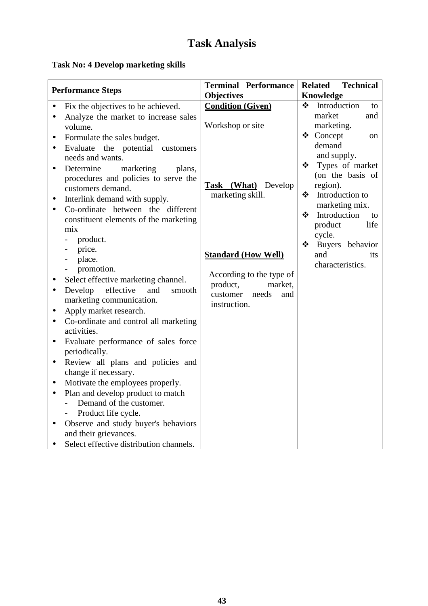### **Task No: 4 Develop marketing skills**

|           | <b>Performance Steps</b>                             | <b>Terminal Performance</b> |               | <b>Technical</b><br><b>Related</b> |
|-----------|------------------------------------------------------|-----------------------------|---------------|------------------------------------|
|           |                                                      | <b>Objectives</b>           | $\frac{1}{2}$ | Knowledge<br>Introduction          |
|           | Fix the objectives to be achieved.                   | <b>Condition (Given)</b>    |               | to<br>market<br>and                |
| $\bullet$ | Analyze the market to increase sales                 | Workshop or site            |               | marketing.                         |
|           | volume.                                              |                             |               | ❖ Concept<br>on                    |
| $\bullet$ | Formulate the sales budget.                          |                             |               | demand                             |
| $\bullet$ | Evaluate<br>the potential customers                  |                             |               | and supply.                        |
|           | needs and wants.                                     |                             | ❖             | Types of market                    |
| $\bullet$ | Determine<br>marketing<br>plans,                     |                             |               | (on the basis of                   |
|           | procedures and policies to serve the                 | Task (What) Develop         |               | region).                           |
|           | customers demand.                                    | marketing skill.            | $\cdot$       | Introduction to                    |
| $\bullet$ | Interlink demand with supply.                        |                             |               | marketing mix.                     |
| $\bullet$ | Co-ordinate between the different                    |                             | ❖             | Introduction<br>to                 |
|           | constituent elements of the marketing                |                             |               | product<br>life                    |
|           | mix                                                  |                             |               | cycle.                             |
|           | product.                                             |                             | $\frac{1}{2}$ | Buyers behavior                    |
|           | price.                                               | <b>Standard (How Well)</b>  |               | and<br>its                         |
|           | place.<br>$\overline{\phantom{0}}$                   |                             |               | characteristics.                   |
|           | promotion.                                           | According to the type of    |               |                                    |
|           | Select effective marketing channel.                  | product,<br>market,         |               |                                    |
| $\bullet$ | Develop effective<br>and<br>smooth                   | needs<br>customer<br>and    |               |                                    |
|           | marketing communication.                             | instruction.                |               |                                    |
| $\bullet$ | Apply market research.                               |                             |               |                                    |
|           | Co-ordinate and control all marketing<br>activities. |                             |               |                                    |
| $\bullet$ | Evaluate performance of sales force                  |                             |               |                                    |
|           | periodically.                                        |                             |               |                                    |
| $\bullet$ | Review all plans and policies and                    |                             |               |                                    |
|           | change if necessary.                                 |                             |               |                                    |
| $\bullet$ | Motivate the employees properly.                     |                             |               |                                    |
| $\bullet$ | Plan and develop product to match                    |                             |               |                                    |
|           | Demand of the customer.                              |                             |               |                                    |
|           | Product life cycle.                                  |                             |               |                                    |
| $\bullet$ | Observe and study buyer's behaviors                  |                             |               |                                    |
|           | and their grievances.                                |                             |               |                                    |
| $\bullet$ | Select effective distribution channels.              |                             |               |                                    |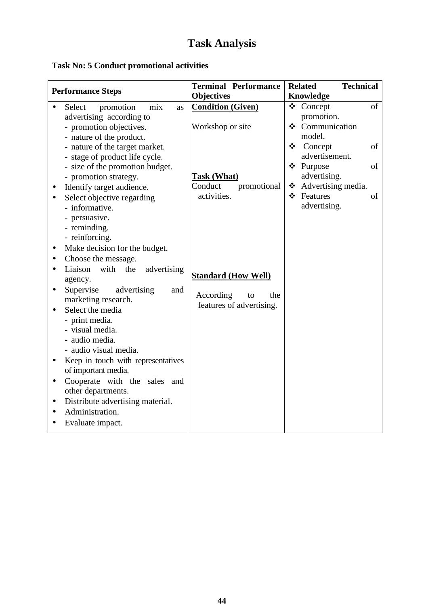### **Task No: 5 Conduct promotional activities**

| <b>Performance Steps</b>                                      | <b>Terminal Performance</b><br><b>Objectives</b> | <b>Technical</b><br><b>Related</b><br><b>Knowledge</b> |
|---------------------------------------------------------------|--------------------------------------------------|--------------------------------------------------------|
| Select<br>promotion<br>mix<br>as<br>$\bullet$                 | <b>Condition (Given)</b>                         | of<br>❖ Concept                                        |
| advertising according to                                      |                                                  | promotion.                                             |
| - promotion objectives.                                       | Workshop or site                                 | ❖ Communication                                        |
| - nature of the product.                                      |                                                  | model.                                                 |
| - nature of the target market.                                |                                                  | ❖ Concept<br>of                                        |
| - stage of product life cycle.                                |                                                  | advertisement.                                         |
| - size of the promotion budget.                               |                                                  | ❖ Purpose<br>of                                        |
| - promotion strategy.                                         | <b>Task (What)</b>                               | advertising.                                           |
| Identify target audience.<br>$\bullet$                        | Conduct<br>promotional                           | ❖ Advertising media.                                   |
| Select objective regarding                                    | activities.                                      | ❖ Features<br>οf                                       |
| - informative.                                                |                                                  | advertising.                                           |
| - persuasive.                                                 |                                                  |                                                        |
| - reminding.                                                  |                                                  |                                                        |
| - reinforcing.                                                |                                                  |                                                        |
| Make decision for the budget.<br>$\bullet$                    |                                                  |                                                        |
| Choose the message.<br>$\bullet$                              |                                                  |                                                        |
| Liaison<br>advertising<br>with<br>the<br>$\bullet$<br>agency. | <b>Standard (How Well)</b>                       |                                                        |
| Supervise<br>advertising<br>and<br>$\bullet$                  |                                                  |                                                        |
| marketing research.                                           | According<br>the<br>to                           |                                                        |
| Select the media                                              | features of advertising.                         |                                                        |
| - print media.                                                |                                                  |                                                        |
| - visual media.                                               |                                                  |                                                        |
| - audio media.                                                |                                                  |                                                        |
| - audio visual media.                                         |                                                  |                                                        |
| Keep in touch with representatives<br>$\bullet$               |                                                  |                                                        |
| of important media.                                           |                                                  |                                                        |
| Cooperate with the sales and<br>$\bullet$                     |                                                  |                                                        |
| other departments.                                            |                                                  |                                                        |
| Distribute advertising material.<br>$\bullet$                 |                                                  |                                                        |
| Administration.<br>$\bullet$                                  |                                                  |                                                        |
| Evaluate impact.<br>$\bullet$                                 |                                                  |                                                        |
|                                                               |                                                  |                                                        |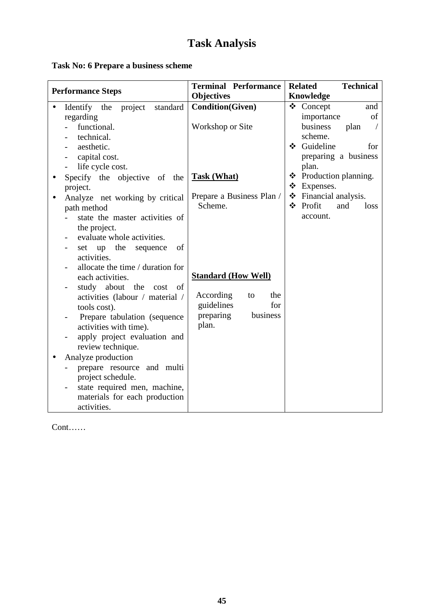### **Task No: 6 Prepare a business scheme**

|                                                                                                                                                                                                                                                                                                                                                                                                                                                                                                                                    | <b>Terminal Performance</b>                                                                                 | <b>Technical</b><br><b>Related</b>                     |
|------------------------------------------------------------------------------------------------------------------------------------------------------------------------------------------------------------------------------------------------------------------------------------------------------------------------------------------------------------------------------------------------------------------------------------------------------------------------------------------------------------------------------------|-------------------------------------------------------------------------------------------------------------|--------------------------------------------------------|
| <b>Performance Steps</b>                                                                                                                                                                                                                                                                                                                                                                                                                                                                                                           | <b>Objectives</b>                                                                                           | Knowledge                                              |
| Identify the<br>project<br>standard<br>regarding                                                                                                                                                                                                                                                                                                                                                                                                                                                                                   | <b>Condition(Given)</b>                                                                                     | ❖ Concept<br>and<br>importance<br>of                   |
| functional.<br>technical.                                                                                                                                                                                                                                                                                                                                                                                                                                                                                                          | Workshop or Site                                                                                            | business<br>plan<br>scheme.                            |
| aesthetic.<br>capital cost.<br>life cycle cost.                                                                                                                                                                                                                                                                                                                                                                                                                                                                                    |                                                                                                             | Guideline<br>❖<br>for<br>preparing a business<br>plan. |
| Specify the objective of the<br>project.                                                                                                                                                                                                                                                                                                                                                                                                                                                                                           | <b>Task (What)</b>                                                                                          | ❖ Production planning.<br>Expenses.<br>❖               |
| Analyze net working by critical<br>$\bullet$<br>path method                                                                                                                                                                                                                                                                                                                                                                                                                                                                        | Prepare a Business Plan /<br>Scheme.                                                                        | Financial analysis.<br>❖<br>❖ Profit<br>and<br>loss    |
| state the master activities of<br>the project.<br>evaluate whole activities.<br>set up the<br>of<br>sequence<br>activities.<br>allocate the time / duration for<br>each activities.<br>study about the<br>- of<br>cost<br>activities (labour / material /<br>tools cost).<br>Prepare tabulation (sequence<br>activities with time).<br>apply project evaluation and<br>review technique.<br>Analyze production<br>prepare resource and multi<br>project schedule.<br>state required men, machine,<br>materials for each production | <b>Standard (How Well)</b><br>According<br>the<br>to<br>guidelines<br>for<br>preparing<br>business<br>plan. | account.                                               |

Cont……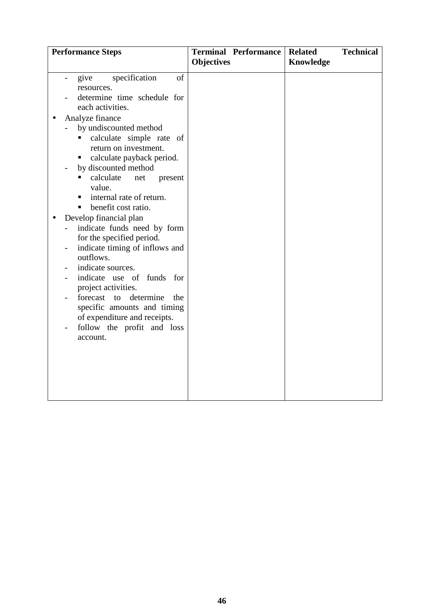| <b>Terminal Performance</b>  | <b>Technical</b><br><b>Related</b>                                                                                                                                                                                                                                |
|------------------------------|-------------------------------------------------------------------------------------------------------------------------------------------------------------------------------------------------------------------------------------------------------------------|
|                              |                                                                                                                                                                                                                                                                   |
| <b>Objectives</b><br>of      | Knowledge                                                                                                                                                                                                                                                         |
|                              |                                                                                                                                                                                                                                                                   |
| of expenditure and receipts. | determine time schedule for<br>calculate simple rate of<br>calculate payback period.<br>present<br>indicate funds need by form<br>indicate timing of inflows and<br>indicate use of funds for<br>the<br>specific amounts and timing<br>follow the profit and loss |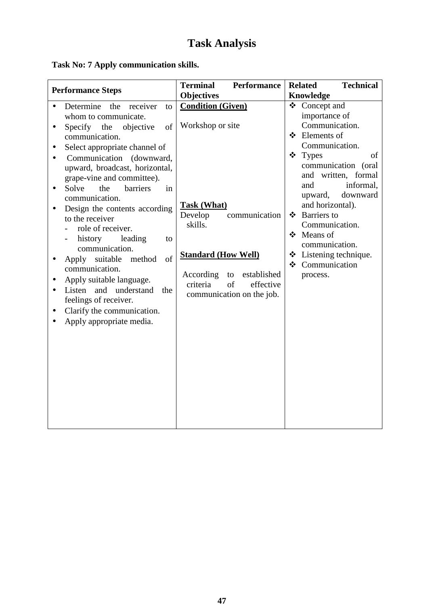**Task No: 7 Apply communication skills.** 

| <b>Performance Steps</b>                                                                                                                                                                                                                                                                                    | <b>Terminal</b><br>Performance                                                                                           | <b>Technical</b><br><b>Related</b>                                                                                                                            |
|-------------------------------------------------------------------------------------------------------------------------------------------------------------------------------------------------------------------------------------------------------------------------------------------------------------|--------------------------------------------------------------------------------------------------------------------------|---------------------------------------------------------------------------------------------------------------------------------------------------------------|
|                                                                                                                                                                                                                                                                                                             | <b>Objectives</b>                                                                                                        | <b>Knowledge</b>                                                                                                                                              |
| Determine<br>the receiver<br>to<br>whom to communicate.<br>Specify the<br>objective<br>of<br>$\bullet$<br>communication.<br>Select appropriate channel of<br>$\bullet$                                                                                                                                      | <b>Condition (Given)</b><br>Workshop or site                                                                             | Concept and<br>❖<br>importance of<br>Communication.<br>❖ Elements of<br>Communication.                                                                        |
| Communication (downward,<br>upward, broadcast, horizontal,<br>grape-vine and committee).<br>Solve<br>the<br>barriers<br>in<br>$\bullet$<br>communication.<br>Design the contents according<br>to the receiver                                                                                               | <b>Task (What)</b><br>Develop<br>communication<br>skills.                                                                | ❖ Types<br>of<br>communication (oral<br>and written, formal<br>informal,<br>and<br>downward<br>upward,<br>and horizontal).<br>❖ Barriers to<br>Communication. |
| role of receiver.<br>history<br>leading<br>to<br>$\overline{\phantom{0}}$<br>communication.<br>of<br>Apply suitable method<br>communication.<br>Apply suitable language.<br>Listen<br>and understand<br>the<br>feelings of receiver.<br>Clarify the communication.<br>$\bullet$<br>Apply appropriate media. | <b>Standard (How Well)</b><br>According<br>established<br>to<br>criteria<br>of<br>effective<br>communication on the job. | ❖ Means of<br>communication.<br>❖ Listening technique.<br>❖ Communication<br>process.                                                                         |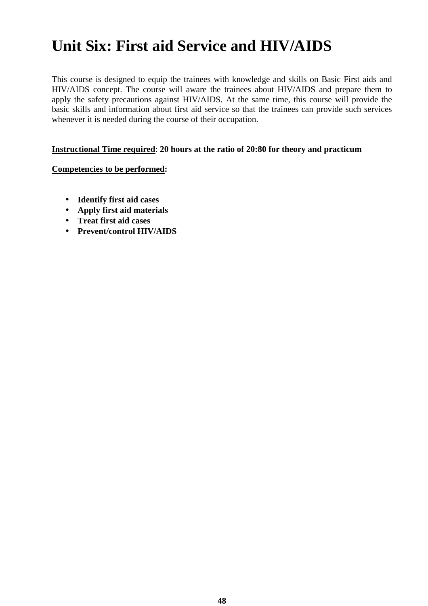# **Unit Six: First aid Service and HIV/AIDS**

This course is designed to equip the trainees with knowledge and skills on Basic First aids and HIV/AIDS concept. The course will aware the trainees about HIV/AIDS and prepare them to apply the safety precautions against HIV/AIDS. At the same time, this course will provide the basic skills and information about first aid service so that the trainees can provide such services whenever it is needed during the course of their occupation.

#### **Instructional Time required**: **20 hours at the ratio of 20:80 for theory and practicum**

#### **Competencies to be performed:**

- **Identify first aid cases**
- **Apply first aid materials**
- **Treat first aid cases**
- **Prevent/control HIV/AIDS**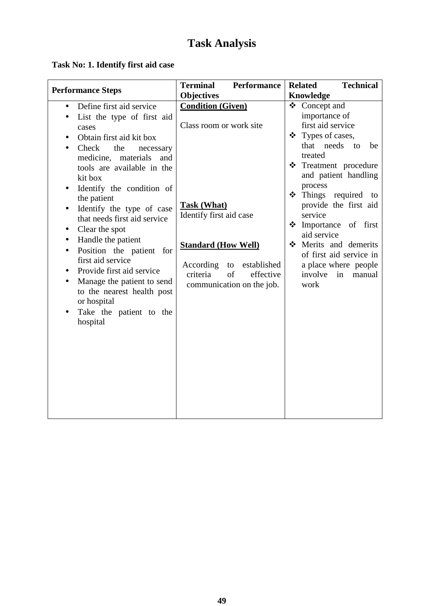### **Task No: 1. Identify first aid case**

|                                                                                                                                                                                                                                                                                                                                                                                                                                                                                                                                                                                                                                                                                                                                       | <b>Terminal</b><br><b>Performance</b>                                                                                                                                                                                                           | <b>Technical</b><br><b>Related</b>                                                                                                                                                                                                                                                                                                                                                                     |
|---------------------------------------------------------------------------------------------------------------------------------------------------------------------------------------------------------------------------------------------------------------------------------------------------------------------------------------------------------------------------------------------------------------------------------------------------------------------------------------------------------------------------------------------------------------------------------------------------------------------------------------------------------------------------------------------------------------------------------------|-------------------------------------------------------------------------------------------------------------------------------------------------------------------------------------------------------------------------------------------------|--------------------------------------------------------------------------------------------------------------------------------------------------------------------------------------------------------------------------------------------------------------------------------------------------------------------------------------------------------------------------------------------------------|
|                                                                                                                                                                                                                                                                                                                                                                                                                                                                                                                                                                                                                                                                                                                                       |                                                                                                                                                                                                                                                 |                                                                                                                                                                                                                                                                                                                                                                                                        |
| <b>Performance Steps</b><br>Define first aid service<br>$\bullet$<br>List the type of first aid<br>$\bullet$<br>cases<br>Obtain first aid kit box<br>$\bullet$<br>Check<br>the<br>necessary<br>$\bullet$<br>medicine, materials and<br>tools are available in the<br>kit box<br>Identify the condition of<br>$\bullet$<br>the patient<br>Identify the type of case<br>$\bullet$<br>that needs first aid service<br>Clear the spot<br>$\bullet$<br>Handle the patient<br>$\bullet$<br>Position the patient for<br>$\bullet$<br>first aid service<br>Provide first aid service<br>$\bullet$<br>Manage the patient to send<br>$\bullet$<br>to the nearest health post<br>or hospital<br>Take the patient to the<br>$\bullet$<br>hospital | <b>Objectives</b><br><b>Condition (Given)</b><br>Class room or work site<br><b>Task (What)</b><br>Identify first aid case<br><b>Standard (How Well)</b><br>According to established<br>criteria<br>of<br>effective<br>communication on the job. | Knowledge<br>❖ Concept and<br>importance of<br>first aid service<br>❖ Types of cases,<br>that needs to<br>be<br>treated<br>* Treatment procedure<br>and patient handling<br>process<br>$\div$ Things required to<br>provide the first aid<br>service<br>Monotance of first<br>aid service<br>Merits and demerits<br>of first aid service in<br>a place where people<br>involve<br>in<br>manual<br>work |
|                                                                                                                                                                                                                                                                                                                                                                                                                                                                                                                                                                                                                                                                                                                                       |                                                                                                                                                                                                                                                 |                                                                                                                                                                                                                                                                                                                                                                                                        |
|                                                                                                                                                                                                                                                                                                                                                                                                                                                                                                                                                                                                                                                                                                                                       |                                                                                                                                                                                                                                                 |                                                                                                                                                                                                                                                                                                                                                                                                        |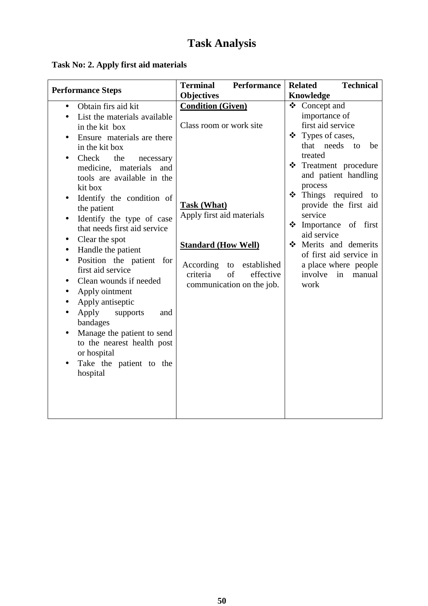|  |  |  | Task No: 2. Apply first aid materials |
|--|--|--|---------------------------------------|
|  |  |  |                                       |

| <b>Performance Steps</b>                                                                                                                                                                                                                                                                                                                                                                                                                                                                                                                                | <b>Terminal</b><br><b>Performance</b>                                                                                                                                                                                                                   | <b>Technical</b><br><b>Related</b>                                                                                                                                                                                                                                                                                                                                                                                      |
|---------------------------------------------------------------------------------------------------------------------------------------------------------------------------------------------------------------------------------------------------------------------------------------------------------------------------------------------------------------------------------------------------------------------------------------------------------------------------------------------------------------------------------------------------------|---------------------------------------------------------------------------------------------------------------------------------------------------------------------------------------------------------------------------------------------------------|-------------------------------------------------------------------------------------------------------------------------------------------------------------------------------------------------------------------------------------------------------------------------------------------------------------------------------------------------------------------------------------------------------------------------|
| Obtain firs aid kit<br>$\bullet$<br>List the materials available<br>in the kit box<br>Ensure materials are there<br>in the kit box<br>Check<br>the<br>necessary<br>medicine, materials and<br>tools are available in the<br>kit box<br>Identify the condition of<br>$\bullet$<br>the patient<br>Identify the type of case<br>$\bullet$<br>that needs first aid service<br>Clear the spot<br>٠<br>Handle the patient<br>$\bullet$<br>Position the patient for<br>$\bullet$<br>first aid service<br>Clean wounds if needed<br>$\bullet$<br>Apply ointment | <b>Objectives</b><br><b>Condition (Given)</b><br>Class room or work site<br><b>Task (What)</b><br>Apply first aid materials<br><b>Standard (How Well)</b><br>According<br>to<br>established<br>criteria<br>of<br>effective<br>communication on the job. | <b>Knowledge</b><br>❖<br>Concept and<br>importance of<br>first aid service<br>❖ Types of cases,<br>that needs<br>to<br>be<br>treated<br>❖ Treatment procedure<br>and patient handling<br>process<br>Things required to<br>❖<br>provide the first aid<br>service<br>Importance of first<br>❖<br>aid service<br>Merits and demerits<br>of first aid service in<br>a place where people<br>involve<br>in<br>manual<br>work |
| Apply antiseptic<br>Apply<br>supports<br>and<br>bandages<br>Manage the patient to send<br>$\bullet$<br>to the nearest health post<br>or hospital<br>Take the patient to the<br>hospital                                                                                                                                                                                                                                                                                                                                                                 |                                                                                                                                                                                                                                                         |                                                                                                                                                                                                                                                                                                                                                                                                                         |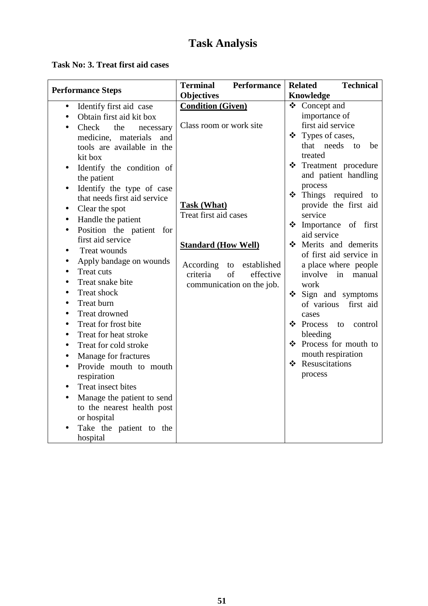#### **Task No: 3. Treat first aid cases**

| <b>Performance Steps</b>                | <b>Terminal</b><br><b>Performance</b> | <b>Technical</b><br><b>Related</b> |
|-----------------------------------------|---------------------------------------|------------------------------------|
|                                         | <b>Objectives</b>                     | Knowledge                          |
| Identify first aid case<br>$\bullet$    | <b>Condition (Given)</b>              | ❖ Concept and                      |
| Obtain first aid kit box                |                                       | importance of                      |
| Check<br>the<br>necessary               | Class room or work site               | first aid service                  |
| materials<br>medicine,<br>and           |                                       | ❖ Types of cases,                  |
| tools are available in the              |                                       | that needs<br>to<br>be             |
| kit box                                 |                                       | treated                            |
| Identify the condition of<br>$\bullet$  |                                       | ❖ Treatment procedure              |
| the patient                             |                                       | and patient handling               |
| Identify the type of case<br>$\bullet$  |                                       | process                            |
| that needs first aid service            |                                       | Things required to<br>$\cdot$      |
| Clear the spot<br>$\bullet$             | <b>Task (What)</b>                    | provide the first aid              |
| Handle the patient                      | Treat first aid cases                 | service                            |
| Position the patient for                |                                       | Monotance of first<br>aid service  |
| first aid service                       |                                       | Merits and demerits                |
| Treat wounds<br>$\bullet$               | <b>Standard (How Well)</b>            | of first aid service in            |
| Apply bandage on wounds<br>$\bullet$    | According<br>established<br>to        | a place where people               |
| Treat cuts<br>$\bullet$                 | criteria<br>of<br>effective           | involve<br>in<br>manual            |
| Treat snake bite<br>$\bullet$           | communication on the job.             | work                               |
| Treat shock<br>$\bullet$                |                                       | Sign and symptoms<br>❖             |
| Treat burn<br>$\bullet$                 |                                       | of various first aid               |
| <b>Treat drowned</b><br>$\bullet$       |                                       | cases                              |
| Treat for frost bite<br>$\bullet$       |                                       | ❖ Process to<br>control            |
| Treat for heat stroke<br>$\bullet$      |                                       | bleeding                           |
| Treat for cold stroke<br>$\bullet$      |                                       | ❖ Process for mouth to             |
| Manage for fractures<br>$\bullet$       |                                       | mouth respiration                  |
| Provide mouth to mouth                  |                                       | ❖ Resuscitations                   |
| respiration                             |                                       | process                            |
| Treat insect bites<br>$\bullet$         |                                       |                                    |
| Manage the patient to send<br>$\bullet$ |                                       |                                    |
| to the nearest health post              |                                       |                                    |
| or hospital                             |                                       |                                    |
| Take the patient to the                 |                                       |                                    |
| hospital                                |                                       |                                    |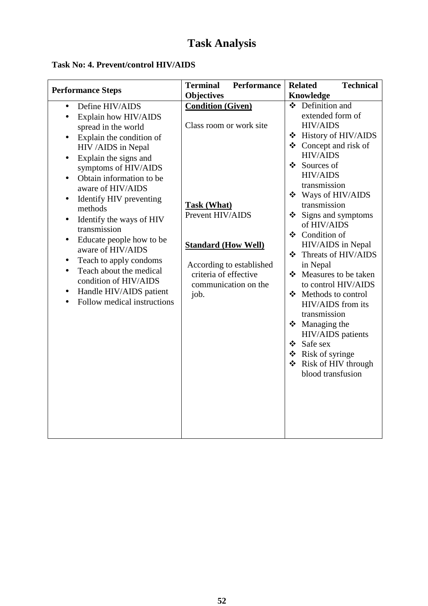#### **Task No: 4. Prevent/control HIV/AIDS**

| <b>Objectives</b>                                                                                                                                                                                                                                                                                                                                                                                                                                                                                                                                                                                                                                                                                                                                                                                                                                                              |                                                                                                                                                                                                                                                                                                                                                                                                                                                                                                                                                                                                              |
|--------------------------------------------------------------------------------------------------------------------------------------------------------------------------------------------------------------------------------------------------------------------------------------------------------------------------------------------------------------------------------------------------------------------------------------------------------------------------------------------------------------------------------------------------------------------------------------------------------------------------------------------------------------------------------------------------------------------------------------------------------------------------------------------------------------------------------------------------------------------------------|--------------------------------------------------------------------------------------------------------------------------------------------------------------------------------------------------------------------------------------------------------------------------------------------------------------------------------------------------------------------------------------------------------------------------------------------------------------------------------------------------------------------------------------------------------------------------------------------------------------|
| <b>Condition (Given)</b><br>Define HIV/AIDS<br>$\bullet$<br>Explain how HIV/AIDS<br>$\bullet$<br>Class room or work site<br>spread in the world<br>Explain the condition of<br>$\bullet$<br>HIV /AIDS in Nepal<br>Explain the signs and<br>$\bullet$<br>symptoms of HIV/AIDS<br>Obtain information to be<br>$\bullet$<br>aware of HIV/AIDS<br>Identify HIV preventing<br>$\bullet$<br><b>Task (What)</b><br>methods<br>Prevent HIV/AIDS<br>Identify the ways of HIV<br>$\bullet$<br>transmission<br>Educate people how to be<br>$\bullet$<br><b>Standard (How Well)</b><br>aware of HIV/AIDS<br>Teach to apply condoms<br>$\bullet$<br>According to established<br>Teach about the medical<br>$\bullet$<br>criteria of effective<br>condition of HIV/AIDS<br>communication on the<br>Handle HIV/AIDS patient<br>$\bullet$<br>job.<br>Follow medical instructions<br>❖ Safe sex | <b>Knowledge</b><br>❖ Definition and<br>extended form of<br><b>HIV/AIDS</b><br>❖ History of HIV/AIDS<br>$\triangleleft$ Concept and risk of<br><b>HIV/AIDS</b><br>❖ Sources of<br><b>HIV/AIDS</b><br>transmission<br>❖ Ways of HIV/AIDS<br>transmission<br>$\div$ Signs and symptoms<br>of HIV/AIDS<br>❖ Condition of<br>HIV/AIDS in Nepal<br>❖ Threats of HIV/AIDS<br>in Nepal<br>❖ Measures to be taken<br>to control HIV/AIDS<br>❖ Methods to control<br>HIV/AIDS from its<br>transmission<br>$\div$ Managing the<br>HIV/AIDS patients<br>❖ Risk of syringe<br>❖ Risk of HIV through<br>blood transfusion |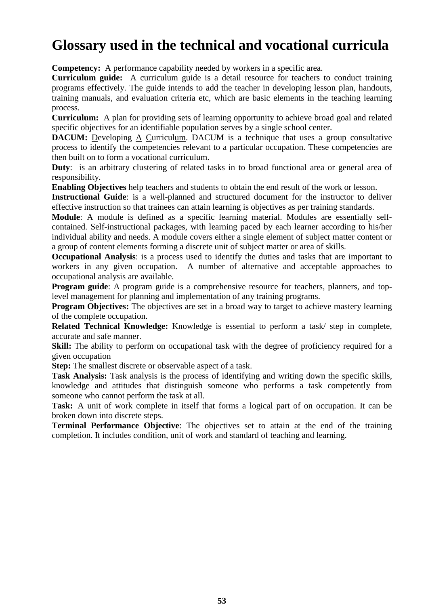## **Glossary used in the technical and vocational curricula**

**Competency:** A performance capability needed by workers in a specific area.

**Curriculum guide:** A curriculum guide is a detail resource for teachers to conduct training programs effectively. The guide intends to add the teacher in developing lesson plan, handouts, training manuals, and evaluation criteria etc, which are basic elements in the teaching learning process.

**Curriculum:** A plan for providing sets of learning opportunity to achieve broad goal and related specific objectives for an identifiable population serves by a single school center.

**DACUM:** Developing A Curriculum. DACUM is a technique that uses a group consultative process to identify the competencies relevant to a particular occupation. These competencies are then built on to form a vocational curriculum.

**Duty**: is an arbitrary clustering of related tasks in to broad functional area or general area of responsibility.

**Enabling Objectives** help teachers and students to obtain the end result of the work or lesson.

**Instructional Guide**: is a well-planned and structured document for the instructor to deliver effective instruction so that trainees can attain learning is objectives as per training standards.

**Module**: A module is defined as a specific learning material. Modules are essentially selfcontained. Self-instructional packages, with learning paced by each learner according to his/her individual ability and needs. A module covers either a single element of subject matter content or a group of content elements forming a discrete unit of subject matter or area of skills.

**Occupational Analysis**: is a process used to identify the duties and tasks that are important to workers in any given occupation. A number of alternative and acceptable approaches to occupational analysis are available.

**Program guide**: A program guide is a comprehensive resource for teachers, planners, and toplevel management for planning and implementation of any training programs.

**Program Objectives:** The objectives are set in a broad way to target to achieve mastery learning of the complete occupation.

**Related Technical Knowledge:** Knowledge is essential to perform a task/ step in complete, accurate and safe manner.

Skill: The ability to perform on occupational task with the degree of proficiency required for a given occupation

**Step:** The smallest discrete or observable aspect of a task.

**Task Analysis:** Task analysis is the process of identifying and writing down the specific skills, knowledge and attitudes that distinguish someone who performs a task competently from someone who cannot perform the task at all.

**Task:** A unit of work complete in itself that forms a logical part of on occupation. It can be broken down into discrete steps.

**Terminal Performance Objective**: The objectives set to attain at the end of the training completion. It includes condition, unit of work and standard of teaching and learning.